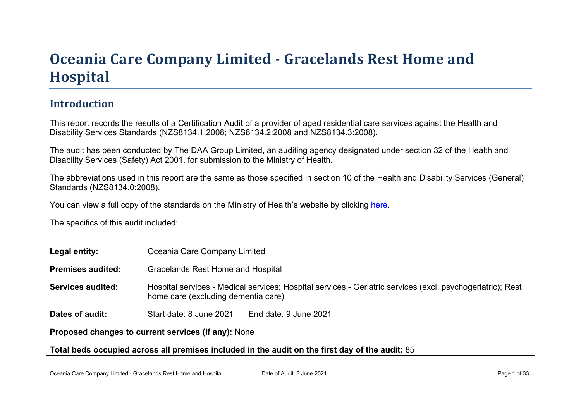# Oceania Car e Company Limited - Gr acelands Rest Home and **Hospital**

#### Introduction

This report records the results of a Certification Audit of a provider of aged residential care services against the Health and Disability Services Standards (NZS8134.1:2008; NZS8134.2:2008 and NZS8134.3:2008).

The audit has been conducted by The DAA Group Limited, an auditing agency designated under section 32 of the Health and Disability Services (Safety) Act 2001, for submission to the Ministry of Health.

The abbreviations used in this report are the same as those specified in section 10 of the Health and Disability Services (General) Standards (NZS8134.0:2008).

You can view a full copy of the standards on the Ministry of Health's website by clicking [here.](http://www.health.govt.nz/our-work/regulation-health-and-disability-system/certification-health-care-services/health-and-disability-services-standards)

The specifics of this audit included:

| Legal entity:                                                                                      | Oceania Care Company Limited                                                                                                                      |  |  |
|----------------------------------------------------------------------------------------------------|---------------------------------------------------------------------------------------------------------------------------------------------------|--|--|
| Premises audited:                                                                                  | Gracelands Rest Home and Hospital                                                                                                                 |  |  |
| Services audited:                                                                                  | Hospital services - Medical services; Hospital services - Geriatric services (excl. psychogeriatric); Rest<br>home care (excluding dementia care) |  |  |
| Dates of audit:                                                                                    | Start date: 8 June 2021<br>End date: 9 June 2021                                                                                                  |  |  |
| Proposed changes to current<br>services (if any): None                                             |                                                                                                                                                   |  |  |
| Total beds occupied across all premises included<br>in the audit on the first day of the audit: 85 |                                                                                                                                                   |  |  |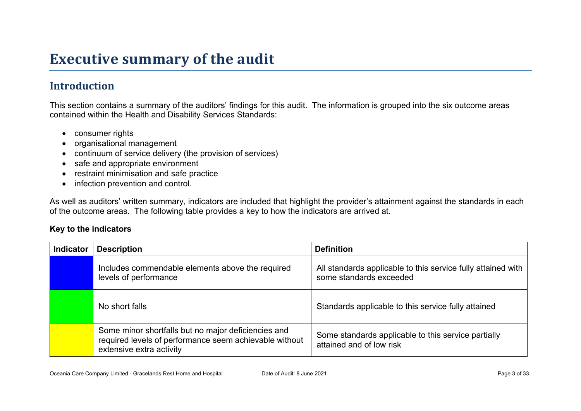# **Executive summary of the audit**

### **Introduction**

This section contains a summary of the auditors' findings for this audit. The information is grouped into the six outcome areas contained within the Health and Disability Services Standards:

- consumer rights
- organisational management
- continuum of service delivery (the provision of services)
- safe and appropriate environment
- restraint minimisation and safe practice
- infection prevention and control.

As well as auditors' written summary, indicators are included that highlight the provider's attainment against the standards in each of the outcome areas. The following table provides a key to how the indicators are arrived at.

#### **Key to the indicators**

| <b>Indicator</b> | <b>Description</b>                                                                                                                        | <b>Definition</b>                                                                       |
|------------------|-------------------------------------------------------------------------------------------------------------------------------------------|-----------------------------------------------------------------------------------------|
|                  | Includes commendable elements above the required<br>levels of performance                                                                 | All standards applicable to this service fully attained with<br>some standards exceeded |
|                  | No short falls                                                                                                                            | Standards applicable to this service fully attained                                     |
|                  | Some minor shortfalls but no major deficiencies and<br>required levels of performance seem achievable without<br>extensive extra activity | Some standards applicable to this service partially<br>attained and of low risk         |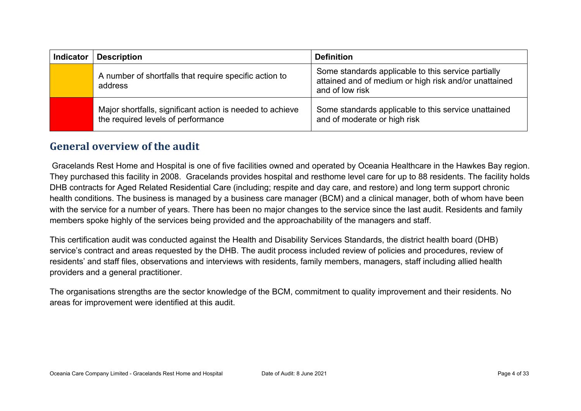| <b>Indicator</b> | <b>Description</b>                                                                              | <b>Definition</b>                                                                                                               |
|------------------|-------------------------------------------------------------------------------------------------|---------------------------------------------------------------------------------------------------------------------------------|
|                  | A number of shortfalls that require specific action to<br>address                               | Some standards applicable to this service partially<br>attained and of medium or high risk and/or unattained<br>and of low risk |
|                  | Major shortfalls, significant action is needed to achieve<br>the required levels of performance | Some standards applicable to this service unattained<br>and of moderate or high risk                                            |

#### **General overview of the audit**

Gracelands Rest Home and Hospital is one of five facilities owned and operated by Oceania Healthcare in the Hawkes Bay region. They purchased this facility in 2008. Gracelands provides hospital and resthome level care for up to 88 residents. The facility holds DHB contracts for Aged Related Residential Care (including; respite and day care, and restore) and long term support chronic health conditions. The business is managed by a business care manager (BCM) and a clinical manager, both of whom have been with the service for a number of years. There has been no major changes to the service since the last audit. Residents and family members spoke highly of the services being provided and the approachability of the managers and staff.

This certification audit was conducted against the Health and Disability Services Standards, the district health board (DHB) service's contract and areas requested by the DHB. The audit process included review of policies and procedures, review of residents' and staff files, observations and interviews with residents, family members, managers, staff including allied health providers and a general practitioner.

The organisations strengths are the sector knowledge of the BCM, commitment to quality improvement and their residents. No areas for improvement were identified at this audit.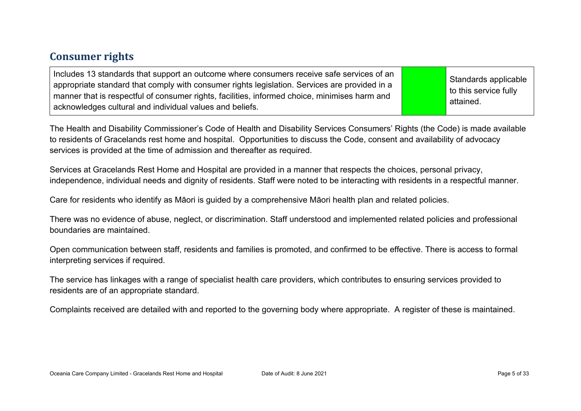#### **Consumer rights**

| Includes 13 standards that support an outcome where consumers receive safe services of an<br>appropriate standard that comply with consumer rights legislation. Services are provided in a<br>manner that is respectful of consumer rights, facilities, informed choice, minimises harm and<br>acknowledges cultural and individual values and beliefs. |  | Standards applicable<br>to this service fully<br>attained. |
|---------------------------------------------------------------------------------------------------------------------------------------------------------------------------------------------------------------------------------------------------------------------------------------------------------------------------------------------------------|--|------------------------------------------------------------|
|---------------------------------------------------------------------------------------------------------------------------------------------------------------------------------------------------------------------------------------------------------------------------------------------------------------------------------------------------------|--|------------------------------------------------------------|

The Health and Disability Commissioner's Code of Health and Disability Services Consumers' Rights (the Code) is made available to residents of Gracelands rest home and hospital. Opportunities to discuss the Code, consent and availability of advocacy services is provided at the time of admission and thereafter as required.

Services at Gracelands Rest Home and Hospital are provided in a manner that respects the choices, personal privacy, independence, individual needs and dignity of residents. Staff were noted to be interacting with residents in a respectful manner.

Care for residents who identify as Māori is guided by a comprehensive Māori health plan and related policies.

There was no evidence of abuse, neglect, or discrimination. Staff understood and implemented related policies and professional boundaries are maintained.

Open communication between staff, residents and families is promoted, and confirmed to be effective. There is access to formal interpreting services if required.

The service has linkages with a range of specialist health care providers, which contributes to ensuring services provided to residents are of an appropriate standard.

Complaints received are detailed with and reported to the governing body where appropriate. A register of these is maintained.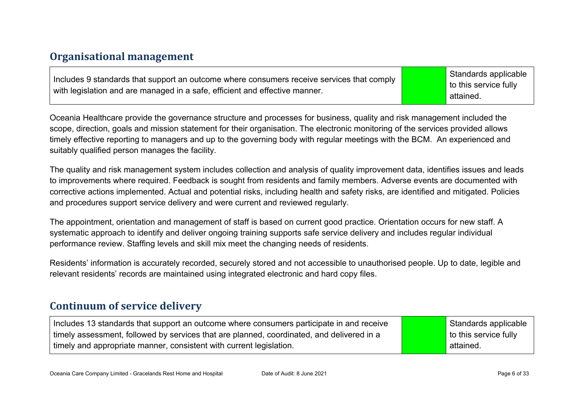#### **Organisational management**

Includes 9 standards that support an outcome where consumers receive services that comply with legislation and are managed in a safe, efficient and effective manner.

Standards applicable to this service fully attained.

Oceania Healthcare provide the governance structure and processes for business, quality and risk management included the scope, direction, goals and mission statement for their organisation. The electronic monitoring of the services provided allows timely effective reporting to managers and up to the governing body with regular meetings with the BCM. An experienced and suitably qualified person manages the facility.

The quality and risk management system includes collection and analysis of quality improvement data, identifies issues and leads to improvements where required. Feedback is sought from residents and family members. Adverse events are documented with corrective actions implemented. Actual and potential risks, including health and safety risks, are identified and mitigated. Policies and procedures support service delivery and were current and reviewed regularly.

The appointment, orientation and management of staff is based on current good practice. Orientation occurs for new staff. A systematic approach to identify and deliver ongoing training supports safe service delivery and includes regular individual performance review. Staffing levels and skill mix meet the changing needs of residents.

Residents' information is accurately recorded, securely stored and not accessible to unauthorised people. Up to date, legible and relevant residents' records are maintained using integrated electronic and hard copy files.

#### **Continuum of service delivery**

Includes 13 standards that support an outcome where consumers participate in and receive timely assessment, followed by services that are planned, coordinated, and delivered in a timely and appropriate manner, consistent with current legislation.

Standards applicable to this service fully attained.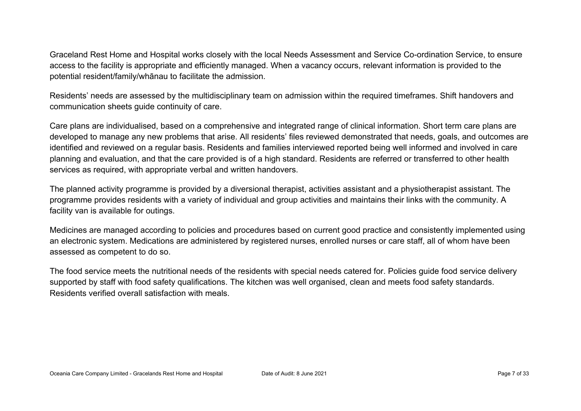Graceland Rest Home and Hospital works closely with the local Needs Assessment and Service Co-ordination Service, to ensure access to the facility is appropriate and efficiently managed. When a vacancy occurs, relevant information is provided to the potential resident/family/whānau to facilitate the admission.

Residents' needs are assessed by the multidisciplinary team on admission within the required timeframes. Shift handovers and communication sheets guide continuity of care.

Care plans are individualised, based on a comprehensive and integrated range of clinical information. Short term care plans are developed to manage any new problems that arise. All residents' files reviewed demonstrated that needs, goals, and outcomes are identified and reviewed on a regular basis. Residents and families interviewed reported being well informed and involved in care planning and evaluation, and that the care provided is of a high standard. Residents are referred or transferred to other health services as required, with appropriate verbal and written handovers.

The planned activity programme is provided by a diversional therapist, activities assistant and a physiotherapist assistant. The programme provides residents with a variety of individual and group activities and maintains their links with the community. A facility van is available for outings.

Medicines are managed according to policies and procedures based on current good practice and consistently implemented using an electronic system. Medications are administered by registered nurses, enrolled nurses or care staff, all of whom have been assessed as competent to do so.

The food service meets the nutritional needs of the residents with special needs catered for. Policies guide food service delivery supported by staff with food safety qualifications. The kitchen was well organised, clean and meets food safety standards. Residents verified overall satisfaction with meals.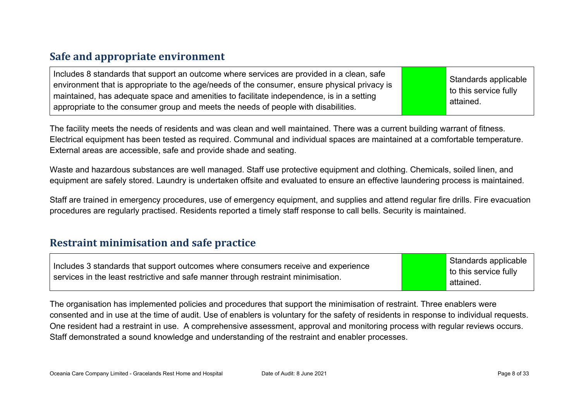#### **Safe and appropriate environment**

| Includes 8 standards that support an outcome where services are provided in a clean, safe<br>environment that is appropriate to the age/needs of the consumer, ensure physical privacy is<br>maintained, has adequate space and amenities to facilitate independence, is in a setting<br>appropriate to the consumer group and meets the needs of people with disabilities. |  | Standards applicable<br>$\vert$ to this service fully<br>attained. |
|-----------------------------------------------------------------------------------------------------------------------------------------------------------------------------------------------------------------------------------------------------------------------------------------------------------------------------------------------------------------------------|--|--------------------------------------------------------------------|
|-----------------------------------------------------------------------------------------------------------------------------------------------------------------------------------------------------------------------------------------------------------------------------------------------------------------------------------------------------------------------------|--|--------------------------------------------------------------------|

The facility meets the needs of residents and was clean and well maintained. There was a current building warrant of fitness. Electrical equipment has been tested as required. Communal and individual spaces are maintained at a comfortable temperature. External areas are accessible, safe and provide shade and seating.

Waste and hazardous substances are well managed. Staff use protective equipment and clothing. Chemicals, soiled linen, and equipment are safely stored. Laundry is undertaken offsite and evaluated to ensure an effective laundering process is maintained.

Staff are trained in emergency procedures, use of emergency equipment, and supplies and attend regular fire drills. Fire evacuation procedures are regularly practised. Residents reported a timely staff response to call bells. Security is maintained.

#### **Restraint minimisation and safe practice**

| Includes 3 standards that support outcomes where consumers receive and experience | Standards applicable  |
|-----------------------------------------------------------------------------------|-----------------------|
| services in the least restrictive and safe manner through restraint minimisation. | to this service fully |
|                                                                                   | attained.             |

The organisation has implemented policies and procedures that support the minimisation of restraint. Three enablers were consented and in use at the time of audit. Use of enablers is voluntary for the safety of residents in response to individual requests. One resident had a restraint in use. A comprehensive assessment, approval and monitoring process with regular reviews occurs. Staff demonstrated a sound knowledge and understanding of the restraint and enabler processes.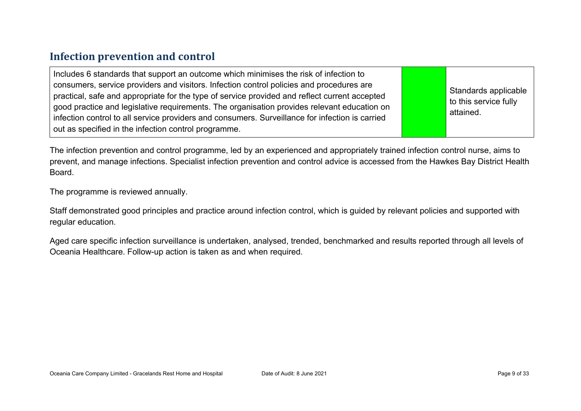#### **Infection prevention and control**

| Includes 6 standards that support an outcome which minimises the risk of infection to<br>consumers, service providers and visitors. Infection control policies and procedures are<br>practical, safe and appropriate for the type of service provided and reflect current accepted<br>good practice and legislative requirements. The organisation provides relevant education on<br>infection control to all service providers and consumers. Surveillance for infection is carried<br>out as specified in the infection control programme. |  | Standards applicable<br>to this service fully<br>attained. |
|----------------------------------------------------------------------------------------------------------------------------------------------------------------------------------------------------------------------------------------------------------------------------------------------------------------------------------------------------------------------------------------------------------------------------------------------------------------------------------------------------------------------------------------------|--|------------------------------------------------------------|
|----------------------------------------------------------------------------------------------------------------------------------------------------------------------------------------------------------------------------------------------------------------------------------------------------------------------------------------------------------------------------------------------------------------------------------------------------------------------------------------------------------------------------------------------|--|------------------------------------------------------------|

The infection prevention and control programme, led by an experienced and appropriately trained infection control nurse, aims to prevent, and manage infections. Specialist infection prevention and control advice is accessed from the Hawkes Bay District Health Board.

The programme is reviewed annually.

Staff demonstrated good principles and practice around infection control, which is guided by relevant policies and supported with regular education.

Aged care specific infection surveillance is undertaken, analysed, trended, benchmarked and results reported through all levels of Oceania Healthcare. Follow-up action is taken as and when required.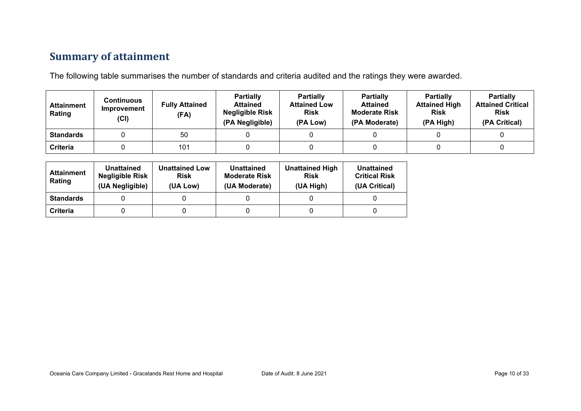### **Summary of attainment**

The following table summarises the number of standards and criteria audited and the ratings they were awarded.

| <b>Attainment</b><br>Rating | Continuous<br>Improvement<br>(Cl) | <b>Fully Attained</b><br>(FA) | <b>Partially</b><br><b>Attained</b><br><b>Negligible Risk</b><br>(PA Negligible) | <b>Partially</b><br><b>Attained Low</b><br><b>Risk</b><br>(PA Low) | <b>Partially</b><br><b>Attained</b><br><b>Moderate Risk</b><br>(PA Moderate) | <b>Partially</b><br><b>Attained High</b><br><b>Risk</b><br>(PA High) | <b>Partially</b><br><b>Attained Critical</b><br><b>Risk</b><br>(PA Critical) |
|-----------------------------|-----------------------------------|-------------------------------|----------------------------------------------------------------------------------|--------------------------------------------------------------------|------------------------------------------------------------------------------|----------------------------------------------------------------------|------------------------------------------------------------------------------|
| <b>Standards</b>            |                                   | 50                            |                                                                                  |                                                                    |                                                                              |                                                                      |                                                                              |
| <b>Criteria</b>             |                                   | 101                           |                                                                                  |                                                                    |                                                                              |                                                                      |                                                                              |

| <b>Attainment</b><br>Rating | Unattained<br><b>Negligible Risk</b><br>(UA Negligible) | <b>Unattained Low</b><br><b>Risk</b><br>(UA Low) | Unattained<br><b>Moderate Risk</b><br>(UA Moderate) | <b>Unattained High</b><br><b>Risk</b><br>(UA High) | Unattained<br><b>Critical Risk</b><br>(UA Critical) |
|-----------------------------|---------------------------------------------------------|--------------------------------------------------|-----------------------------------------------------|----------------------------------------------------|-----------------------------------------------------|
| <b>Standards</b>            |                                                         |                                                  |                                                     |                                                    |                                                     |
| Criteria                    |                                                         |                                                  |                                                     |                                                    |                                                     |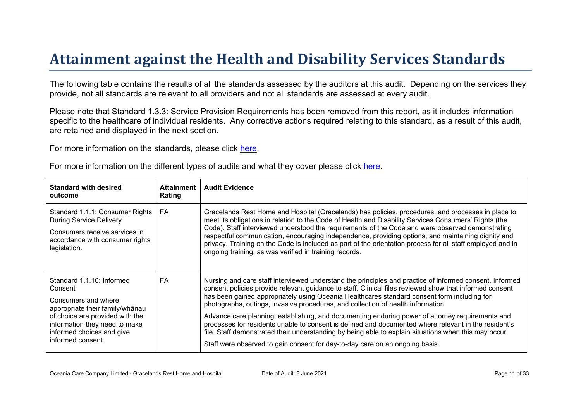# Attainment against the Health and Disability Ser vices Standar ds

The following table contains the results of all the standards assessed by the auditors at this audit. Depending on the services they provide, not all standards are relevant to all providers and not all standards are assessed at every audit.

Please note that Standard 1.3.3: Service Provision Requirements has been removed from this report, as it includes information specific to the healthcare of individual residents. Any corrective actions required relating to this standard, as a result of this audit, are retained and displayed in the next section.

For more information on the standards, please click [here](http://www.health.govt.nz/our-work/regulation-health-and-disability-system/certification-health-care-services/health-and-disability-services-standards).

|  | For more information on the different types of audits and what they cover please click here. |
|--|----------------------------------------------------------------------------------------------|
|  |                                                                                              |

| Standard with desired<br>outcome                                                                                                                                                                                     | Attainment<br>Rating | Audit Evidence                                                                                                                                                                                                                                                                                                                                                                                                                                                                                                                                                                                                                                                                                                             |
|----------------------------------------------------------------------------------------------------------------------------------------------------------------------------------------------------------------------|----------------------|----------------------------------------------------------------------------------------------------------------------------------------------------------------------------------------------------------------------------------------------------------------------------------------------------------------------------------------------------------------------------------------------------------------------------------------------------------------------------------------------------------------------------------------------------------------------------------------------------------------------------------------------------------------------------------------------------------------------------|
| Standard 1.1.1: Consumer Rights<br><b>During Service Delivery</b><br>Consumers receive services in<br>accordance with consumer rights<br>legislation.                                                                | FA                   | Gracelands Rest Home and Hospital (Gracelands) has policies, procedures, and processes in place to<br>meet its obligations in relation to the Code of Health and Disability Services Consumers' Rights (the<br>Code). Staff interviewed understood the requirements of the Code and were observed demonstrating<br>respectful communication, encouraging independence, providing options, and maintaining dignity and<br>privacy. Training on the Code is included as part of the orientation process for all staff employed and in<br>ongoing training, as was verified in training records.                                                                                                                              |
| Standard 1.1.10: Informed<br>Consent<br>Consumers and where<br>appropriate their<br>$= 3 \% ?$<br>of choice are provided with the<br>information they need to make<br>informed choices and give<br>informed consent. | FA                   | Nursing and care staff interviewed understand the principles and practice of informed consent. Informed<br>consent policies provide relevant guidance to staff. Clinical files reviewed show that informed consent<br>has been gained appropriately using Oceania Healthcares standard consent form including for<br>photographs, outings, invasive procedures, and collection of health information.<br>Advance care planning, establishing, and documenting enduring power of attorney requirements and<br>processes for residents unable to consent is defined and documented where relevant in the resident's<br>file. Staff demonstrated their understanding by being able to explain situations when this may occur. |
|                                                                                                                                                                                                                      |                      | Staff were observed to gain consent for day-to-day care on an ongoing basis.                                                                                                                                                                                                                                                                                                                                                                                                                                                                                                                                                                                                                                               |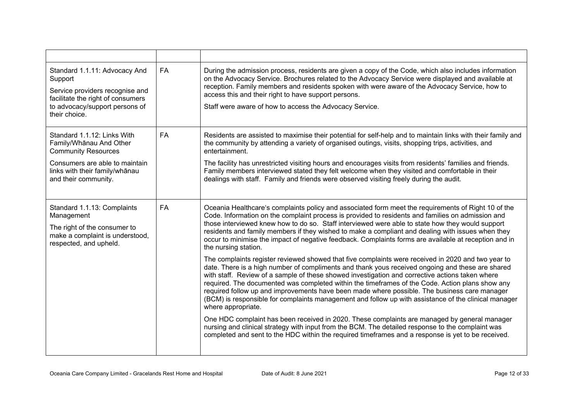| Standard 1.1.11: Advocacy And<br>Support<br>Service providers recognise and<br>facilitate the right of consumers<br>to advocacy/support persons of<br>their choice. | <b>FA</b> | During the admission process, residents are given a copy of the Code, which also includes information<br>on the Advocacy Service. Brochures related to the Advocacy Service were displayed and available at<br>reception. Family members and residents spoken with were aware of the Advocacy Service, how to<br>access this and their right to have support persons.<br>Staff were aware of how to access the Advocacy Service.                                                                                                                                                                                                           |
|---------------------------------------------------------------------------------------------------------------------------------------------------------------------|-----------|--------------------------------------------------------------------------------------------------------------------------------------------------------------------------------------------------------------------------------------------------------------------------------------------------------------------------------------------------------------------------------------------------------------------------------------------------------------------------------------------------------------------------------------------------------------------------------------------------------------------------------------------|
| Standard 1.1.12: Links With<br>Family/Whanau And Other<br><b>Community Resources</b>                                                                                | FA        | Residents are assisted to maximise their potential for self-help and to maintain links with their family and<br>the community by attending a variety of organised outings, visits, shopping trips, activities, and<br>entertainment.                                                                                                                                                                                                                                                                                                                                                                                                       |
| Consumers are able to maintain<br>links with their family/whānau<br>and their community.                                                                            |           | The facility has unrestricted visiting hours and encourages visits from residents' families and friends.<br>Family members interviewed stated they felt welcome when they visited and comfortable in their<br>dealings with staff. Family and friends were observed visiting freely during the audit.                                                                                                                                                                                                                                                                                                                                      |
| Standard 1.1.13: Complaints<br>Management<br>The right of the consumer to<br>make a complaint is understood,<br>respected, and upheld.                              | FA        | Oceania Healthcare's complaints policy and associated form meet the requirements of Right 10 of the<br>Code. Information on the complaint process is provided to residents and families on admission and<br>those interviewed knew how to do so. Staff interviewed were able to state how they would support<br>residents and family members if they wished to make a compliant and dealing with issues when they<br>occur to minimise the impact of negative feedback. Complaints forms are available at reception and in<br>the nursing station.                                                                                         |
|                                                                                                                                                                     |           | The complaints register reviewed showed that five complaints were received in 2020 and two year to<br>date. There is a high number of compliments and thank yous received ongoing and these are shared<br>with staff. Review of a sample of these showed investigation and corrective actions taken where<br>required. The documented was completed within the timeframes of the Code. Action plans show any<br>required follow up and improvements have been made where possible. The business care manager<br>(BCM) is responsible for complaints management and follow up with assistance of the clinical manager<br>where appropriate. |
|                                                                                                                                                                     |           | One HDC complaint has been received in 2020. These complaints are managed by general manager<br>nursing and clinical strategy with input from the BCM. The detailed response to the complaint was<br>completed and sent to the HDC within the required timeframes and a response is yet to be received.                                                                                                                                                                                                                                                                                                                                    |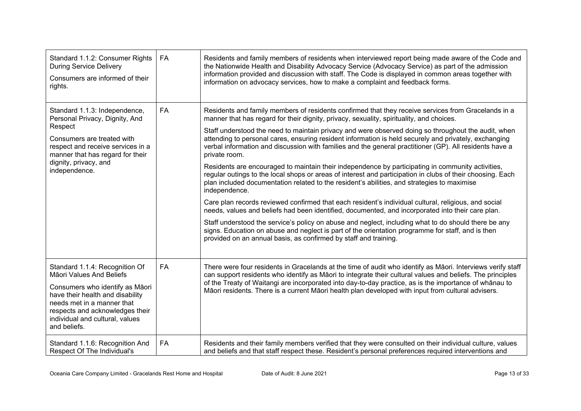| Standard 1.1.2: Consumer Rights<br><b>During Service Delivery</b><br>Consumers are informed of their<br>rights.                                                                                                                                       | <b>FA</b> | Residents and family members of residents when interviewed report being made aware of the Code and<br>the Nationwide Health and Disability Advocacy Service (Advocacy Service) as part of the admission<br>information provided and discussion with staff. The Code is displayed in common areas together with<br>information on advocacy services, how to make a complaint and feedback forms.                                                                                                                                                                                                                                                                                                                                                                                                                                                                                                                                                                                                                                                                                                                                                                                                                                                                                                                                                                              |
|-------------------------------------------------------------------------------------------------------------------------------------------------------------------------------------------------------------------------------------------------------|-----------|------------------------------------------------------------------------------------------------------------------------------------------------------------------------------------------------------------------------------------------------------------------------------------------------------------------------------------------------------------------------------------------------------------------------------------------------------------------------------------------------------------------------------------------------------------------------------------------------------------------------------------------------------------------------------------------------------------------------------------------------------------------------------------------------------------------------------------------------------------------------------------------------------------------------------------------------------------------------------------------------------------------------------------------------------------------------------------------------------------------------------------------------------------------------------------------------------------------------------------------------------------------------------------------------------------------------------------------------------------------------------|
| Standard 1.1.3: Independence,<br>Personal Privacy, Dignity, And<br>Respect<br>Consumers are treated with<br>respect and receive services in a<br>manner that has regard for their<br>dignity, privacy, and<br>independence.                           | <b>FA</b> | Residents and family members of residents confirmed that they receive services from Gracelands in a<br>manner that has regard for their dignity, privacy, sexuality, spirituality, and choices.<br>Staff understood the need to maintain privacy and were observed doing so throughout the audit, when<br>attending to personal cares, ensuring resident information is held securely and privately, exchanging<br>verbal information and discussion with families and the general practitioner (GP). All residents have a<br>private room.<br>Residents are encouraged to maintain their independence by participating in community activities,<br>regular outings to the local shops or areas of interest and participation in clubs of their choosing. Each<br>plan included documentation related to the resident's abilities, and strategies to maximise<br>independence.<br>Care plan records reviewed confirmed that each resident's individual cultural, religious, and social<br>needs, values and beliefs had been identified, documented, and incorporated into their care plan.<br>Staff understood the service's policy on abuse and neglect, including what to do should there be any<br>signs. Education on abuse and neglect is part of the orientation programme for staff, and is then<br>provided on an annual basis, as confirmed by staff and training. |
| Standard 1.1.4: Recognition Of<br>Māori Values And Beliefs<br>Consumers who identify as Māori<br>have their health and disability<br>needs met in a manner that<br>respects and acknowledges their<br>individual and cultural, values<br>and beliefs. | FA        | There were four residents in Gracelands at the time of audit who identify as Māori. Interviews verify staff<br>can support residents who identify as Māori to integrate their cultural values and beliefs. The principles<br>of the Treaty of Waitangi are incorporated into day-to-day practice, as is the importance of whanau to<br>Māori residents. There is a current Māori health plan developed with input from cultural advisers.                                                                                                                                                                                                                                                                                                                                                                                                                                                                                                                                                                                                                                                                                                                                                                                                                                                                                                                                    |
| Standard 1.1.6: Recognition And<br>Respect Of The Individual's                                                                                                                                                                                        | FA        | Residents and their family members verified that they were consulted on their individual culture, values<br>and beliefs and that staff respect these. Resident's personal preferences required interventions and                                                                                                                                                                                                                                                                                                                                                                                                                                                                                                                                                                                                                                                                                                                                                                                                                                                                                                                                                                                                                                                                                                                                                             |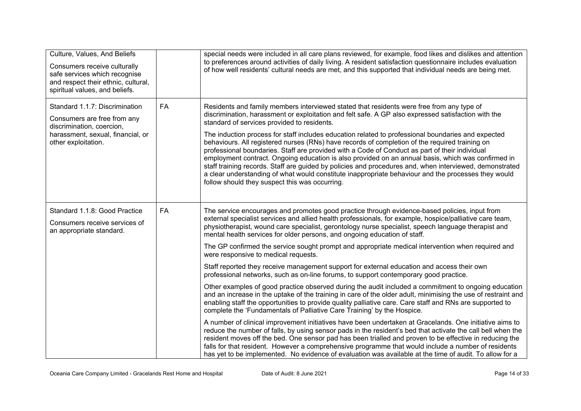| Culture, Values, And Beliefs<br>Consumers receive culturally<br>safe services which recognise<br>and respect their ethnic, cultural,<br>spiritual values, and beliefs. |           | special needs were included in all care plans reviewed, for example, food likes and dislikes and attention<br>to preferences around activities of daily living. A resident satisfaction questionnaire includes evaluation<br>of how well residents' cultural needs are met, and this supported that individual needs are being met.                                                                                                                                                                                                                                                                                                                                                                                                                                                                                                                                                                                                                                                                                                                                                                                                                                                                                                                                                                                                                                                                                                                                                                                                                                                                                                                                                                      |
|------------------------------------------------------------------------------------------------------------------------------------------------------------------------|-----------|----------------------------------------------------------------------------------------------------------------------------------------------------------------------------------------------------------------------------------------------------------------------------------------------------------------------------------------------------------------------------------------------------------------------------------------------------------------------------------------------------------------------------------------------------------------------------------------------------------------------------------------------------------------------------------------------------------------------------------------------------------------------------------------------------------------------------------------------------------------------------------------------------------------------------------------------------------------------------------------------------------------------------------------------------------------------------------------------------------------------------------------------------------------------------------------------------------------------------------------------------------------------------------------------------------------------------------------------------------------------------------------------------------------------------------------------------------------------------------------------------------------------------------------------------------------------------------------------------------------------------------------------------------------------------------------------------------|
| Standard 1.1.7: Discrimination<br>Consumers are free from any<br>discrimination, coercion,<br>harassment, sexual, financial, or<br>other exploitation.                 | <b>FA</b> | Residents and family members interviewed stated that residents were free from any type of<br>discrimination, harassment or exploitation and felt safe. A GP also expressed satisfaction with the<br>standard of services provided to residents.<br>The induction process for staff includes education related to professional boundaries and expected<br>behaviours. All registered nurses (RNs) have records of completion of the required training on<br>professional boundaries. Staff are provided with a Code of Conduct as part of their individual<br>employment contract. Ongoing education is also provided on an annual basis, which was confirmed in<br>staff training records. Staff are guided by policies and procedures and, when interviewed, demonstrated<br>a clear understanding of what would constitute inappropriate behaviour and the processes they would<br>follow should they suspect this was occurring.                                                                                                                                                                                                                                                                                                                                                                                                                                                                                                                                                                                                                                                                                                                                                                      |
| Standard 1.1.8: Good Practice<br>Consumers receive services of<br>an appropriate standard.                                                                             | FA        | The service encourages and promotes good practice through evidence-based policies, input from<br>external specialist services and allied health professionals, for example, hospice/palliative care team,<br>physiotherapist, wound care specialist, gerontology nurse specialist, speech language therapist and<br>mental health services for older persons, and ongoing education of staff.<br>The GP confirmed the service sought prompt and appropriate medical intervention when required and<br>were responsive to medical requests.<br>Staff reported they receive management support for external education and access their own<br>professional networks, such as on-line forums, to support contemporary good practice.<br>Other examples of good practice observed during the audit included a commitment to ongoing education<br>and an increase in the uptake of the training in care of the older adult, minimising the use of restraint and<br>enabling staff the opportunities to provide quality palliative care. Care staff and RNs are supported to<br>complete the 'Fundamentals of Palliative Care Training' by the Hospice.<br>A number of clinical improvement initiatives have been undertaken at Gracelands. One initiative aims to<br>reduce the number of falls, by using sensor pads in the resident's bed that activate the call bell when the<br>resident moves off the bed. One sensor pad has been trialled and proven to be effective in reducing the<br>falls for that resident. However a comprehensive programme that would include a number of residents<br>has yet to be implemented. No evidence of evaluation was available at the time of audit. To allow for a |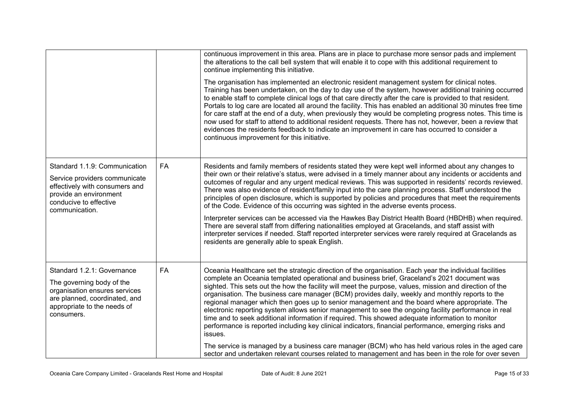|                                                                                                                                                                        |           | continuous improvement in this area. Plans are in place to purchase more sensor pads and implement<br>the alterations to the call bell system that will enable it to cope with this additional requirement to<br>continue implementing this initiative.                                                                                                                                                                                                                                                                                                                                                                                                                                                                                                                                                                                              |
|------------------------------------------------------------------------------------------------------------------------------------------------------------------------|-----------|------------------------------------------------------------------------------------------------------------------------------------------------------------------------------------------------------------------------------------------------------------------------------------------------------------------------------------------------------------------------------------------------------------------------------------------------------------------------------------------------------------------------------------------------------------------------------------------------------------------------------------------------------------------------------------------------------------------------------------------------------------------------------------------------------------------------------------------------------|
|                                                                                                                                                                        |           | The organisation has implemented an electronic resident management system for clinical notes.<br>Training has been undertaken, on the day to day use of the system, however additional training occurred<br>to enable staff to complete clinical logs of that care directly after the care is provided to that resident.<br>Portals to log care are located all around the facility. This has enabled an additional 30 minutes free time<br>for care staff at the end of a duty, when previously they would be completing progress notes. This time is<br>now used for staff to attend to additional resident requests. There has not, however, been a review that<br>evidences the residents feedback to indicate an improvement in care has occurred to consider a<br>continuous improvement for this initiative.                                  |
| Standard 1.1.9: Communication<br>Service providers communicate<br>effectively with consumers and<br>provide an environment<br>conducive to effective<br>communication. | <b>FA</b> | Residents and family members of residents stated they were kept well informed about any changes to<br>their own or their relative's status, were advised in a timely manner about any incidents or accidents and<br>outcomes of regular and any urgent medical reviews. This was supported in residents' records reviewed.<br>There was also evidence of resident/family input into the care planning process. Staff understood the<br>principles of open disclosure, which is supported by policies and procedures that meet the requirements<br>of the Code. Evidence of this occurring was sighted in the adverse events process.                                                                                                                                                                                                                 |
|                                                                                                                                                                        |           | Interpreter services can be accessed via the Hawkes Bay District Health Board (HBDHB) when required.<br>There are several staff from differing nationalities employed at Gracelands, and staff assist with<br>interpreter services if needed. Staff reported interpreter services were rarely required at Gracelands as<br>residents are generally able to speak English.                                                                                                                                                                                                                                                                                                                                                                                                                                                                            |
| Standard 1.2.1: Governance<br>The governing body of the<br>organisation ensures services<br>are planned, coordinated, and<br>appropriate to the needs of<br>consumers. | FA        | Oceania Healthcare set the strategic direction of the organisation. Each year the individual facilities<br>complete an Oceania templated operational and business brief, Graceland's 2021 document was<br>sighted. This sets out the how the facility will meet the purpose, values, mission and direction of the<br>organisation. The business care manager (BCM) provides daily, weekly and monthly reports to the<br>regional manager which then goes up to senior management and the board where appropriate. The<br>electronic reporting system allows senior management to see the ongoing facility performance in real<br>time and to seek additional information if required. This showed adequate information to monitor<br>performance is reported including key clinical indicators, financial performance, emerging risks and<br>issues. |
|                                                                                                                                                                        |           | The service is managed by a business care manager (BCM) who has held various roles in the aged care<br>sector and undertaken relevant courses related to management and has been in the role for over seven                                                                                                                                                                                                                                                                                                                                                                                                                                                                                                                                                                                                                                          |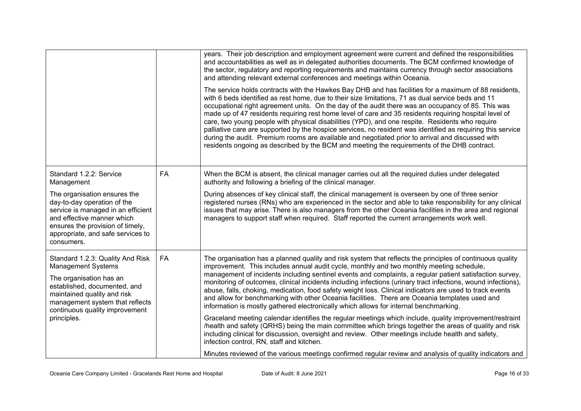|                                                                                                                                                                                                                        |           | years. Their job description and employment agreement were current and defined the responsibilities<br>and accountabilities as well as in delegated authorities documents. The BCM confirmed knowledge of<br>the sector, regulatory and reporting requirements and maintains currency through sector associations<br>and attending relevant external conferences and meetings within Oceania.<br>The service holds contracts with the Hawkes Bay DHB and has facilities for a maximum of 88 residents,<br>with 6 beds identified as rest home, due to their size limitations, 71 as dual service beds and 11<br>occupational right agreement units. On the day of the audit there was an occupancy of 85. This was<br>made up of 47 residents requiring rest home level of care and 35 residents requiring hospital level of<br>care, two young people with physical disabilities (YPD), and one respite. Residents who require<br>palliative care are supported by the hospice services, no resident was identified as requiring this service<br>during the audit. Premium rooms are available and negotiated prior to arrival and discussed with<br>residents ongoing as described by the BCM and meeting the requirements of the DHB contract. |
|------------------------------------------------------------------------------------------------------------------------------------------------------------------------------------------------------------------------|-----------|---------------------------------------------------------------------------------------------------------------------------------------------------------------------------------------------------------------------------------------------------------------------------------------------------------------------------------------------------------------------------------------------------------------------------------------------------------------------------------------------------------------------------------------------------------------------------------------------------------------------------------------------------------------------------------------------------------------------------------------------------------------------------------------------------------------------------------------------------------------------------------------------------------------------------------------------------------------------------------------------------------------------------------------------------------------------------------------------------------------------------------------------------------------------------------------------------------------------------------------------------|
| Standard 1.2.2: Service<br>Management                                                                                                                                                                                  | <b>FA</b> | When the BCM is absent, the clinical manager carries out all the required duties under delegated<br>authority and following a briefing of the clinical manager.                                                                                                                                                                                                                                                                                                                                                                                                                                                                                                                                                                                                                                                                                                                                                                                                                                                                                                                                                                                                                                                                                   |
| The organisation ensures the<br>day-to-day operation of the<br>service is managed in an efficient<br>and effective manner which<br>ensures the provision of timely,<br>appropriate, and safe services to<br>consumers. |           | During absences of key clinical staff, the clinical management is overseen by one of three senior<br>registered nurses (RNs) who are experienced in the sector and able to take responsibility for any clinical<br>issues that may arise. There is also managers from the other Oceania facilities in the area and regional<br>managers to support staff when required. Staff reported the current arrangements work well.                                                                                                                                                                                                                                                                                                                                                                                                                                                                                                                                                                                                                                                                                                                                                                                                                        |
| Standard 1.2.3: Quality And Risk<br><b>Management Systems</b>                                                                                                                                                          | FA        | The organisation has a planned quality and risk system that reflects the principles of continuous quality<br>improvement. This includes annual audit cycle, monthly and two monthly meeting schedule,                                                                                                                                                                                                                                                                                                                                                                                                                                                                                                                                                                                                                                                                                                                                                                                                                                                                                                                                                                                                                                             |
| The organisation has an<br>established, documented, and<br>maintained quality and risk<br>management system that reflects<br>continuous quality improvement                                                            |           | management of incidents including sentinel events and complaints, a regular patient satisfaction survey,<br>monitoring of outcomes, clinical incidents including infections (urinary tract infections, wound infections),<br>abuse, falls, choking, medication, food safety weight loss. Clinical indicators are used to track events<br>and allow for benchmarking with other Oceania facilities. There are Oceania templates used and<br>information is mostly gathered electronically which allows for internal benchmarking.                                                                                                                                                                                                                                                                                                                                                                                                                                                                                                                                                                                                                                                                                                                  |
| principles.                                                                                                                                                                                                            |           | Graceland meeting calendar identifies the regular meetings which include, quality improvement/restraint<br>/health and safety (QRHS) being the main committee which brings together the areas of quality and risk<br>including clinical for discussion, oversight and review. Other meetings include health and safety,<br>infection control, RN, staff and kitchen.                                                                                                                                                                                                                                                                                                                                                                                                                                                                                                                                                                                                                                                                                                                                                                                                                                                                              |
|                                                                                                                                                                                                                        |           | Minutes reviewed of the various meetings confirmed regular review and analysis of quality indicators and                                                                                                                                                                                                                                                                                                                                                                                                                                                                                                                                                                                                                                                                                                                                                                                                                                                                                                                                                                                                                                                                                                                                          |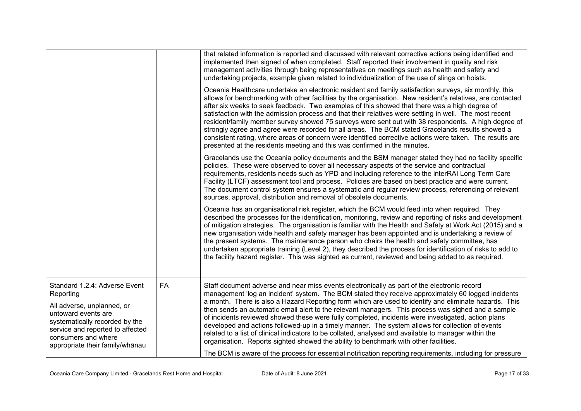|                                                                                                                                                                                   |    | that related information is reported and discussed with relevant corrective actions being identified and<br>implemented then signed of when completed. Staff reported their involvement in quality and risk<br>management activities through being representatives on meetings such as health and safety and<br>undertaking projects, example given related to individualization of the use of slings on hoists.                                                                                                                                                                                                                                                                                                                                                                                                                     |
|-----------------------------------------------------------------------------------------------------------------------------------------------------------------------------------|----|--------------------------------------------------------------------------------------------------------------------------------------------------------------------------------------------------------------------------------------------------------------------------------------------------------------------------------------------------------------------------------------------------------------------------------------------------------------------------------------------------------------------------------------------------------------------------------------------------------------------------------------------------------------------------------------------------------------------------------------------------------------------------------------------------------------------------------------|
|                                                                                                                                                                                   |    | Oceania Healthcare undertake an electronic resident and family satisfaction surveys, six monthly, this<br>allows for benchmarking with other facilities by the organisation. New resident's relatives, are contacted<br>after six weeks to seek feedback. Two examples of this showed that there was a high degree of<br>satisfaction with the admission process and that their relatives were settling in well. The most recent<br>resident/family member survey showed 75 surveys were sent out with 38 respondents. A high degree of<br>strongly agree and agree were recorded for all areas. The BCM stated Gracelands results showed a<br>consistent rating, where areas of concern were identified corrective actions were taken. The results are<br>presented at the residents meeting and this was confirmed in the minutes. |
|                                                                                                                                                                                   |    | Gracelands use the Oceania policy documents and the BSM manager stated they had no facility specific<br>policies. These were observed to cover all necessary aspects of the service and contractual<br>requirements, residents needs such as YPD and including reference to the interRAI Long Term Care<br>Facility (LTCF) assessment tool and process. Policies are based on best practice and were current.<br>The document control system ensures a systematic and regular review process, referencing of relevant<br>sources, approval, distribution and removal of obsolete documents.                                                                                                                                                                                                                                          |
|                                                                                                                                                                                   |    | Oceania has an organisational risk register, which the BCM would feed into when required. They<br>described the processes for the identification, monitoring, review and reporting of risks and development<br>of mitigation strategies. The organisation is familiar with the Health and Safety at Work Act (2015) and a<br>new organisation wide health and safety manager has been appointed and is undertaking a review of<br>the present systems. The maintenance person who chairs the health and safety committee, has<br>undertaken appropriate training (Level 2), they described the process for identification of risks to add to<br>the facility hazard register. This was sighted as current, reviewed and being added to as required.                                                                                  |
| Standard 1.2.4: Adverse Event<br>Reporting                                                                                                                                        | FA | Staff document adverse and near miss events electronically as part of the electronic record<br>management 'log an incident' system. The BCM stated they receive approximately 60 logged incidents                                                                                                                                                                                                                                                                                                                                                                                                                                                                                                                                                                                                                                    |
| All adverse, unplanned, or<br>untoward events are<br>systematically recorded by the<br>service and reported to affected<br>consumers and where<br>appropriate their family/whanau |    | a month. There is also a Hazard Reporting form which are used to identify and eliminate hazards. This<br>then sends an automatic email alert to the relevant managers. This process was sighed and a sample<br>of incidents reviewed showed these were fully completed, incidents were investigated, action plans<br>developed and actions followed-up in a timely manner. The system allows for collection of events<br>related to a list of clinical indicators to be collated, analysed and available to manager within the<br>organisation. Reports sighted showed the ability to benchmark with other facilities.                                                                                                                                                                                                               |
|                                                                                                                                                                                   |    | The BCM is aware of the process for essential notification reporting requirements, including for pressure                                                                                                                                                                                                                                                                                                                                                                                                                                                                                                                                                                                                                                                                                                                            |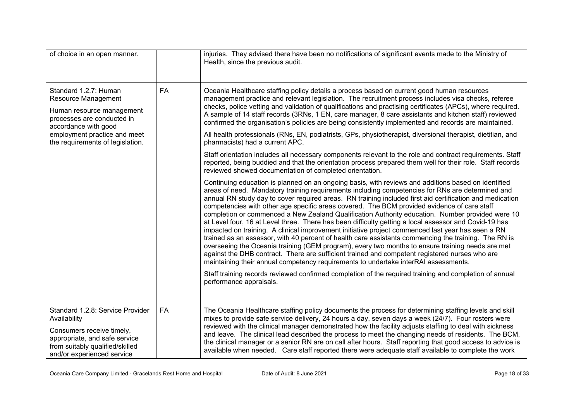| of choice in an open manner.                                                                                                                                                    |           | injuries. They advised there have been no notifications of significant events made to the Ministry of<br>Health, since the previous audit.                                                                                                                                                                                                                                                                                                                                                                                                                                                                                                                                                                                                                                                                                                                                                                                                                                                                                                                                                                                                |
|---------------------------------------------------------------------------------------------------------------------------------------------------------------------------------|-----------|-------------------------------------------------------------------------------------------------------------------------------------------------------------------------------------------------------------------------------------------------------------------------------------------------------------------------------------------------------------------------------------------------------------------------------------------------------------------------------------------------------------------------------------------------------------------------------------------------------------------------------------------------------------------------------------------------------------------------------------------------------------------------------------------------------------------------------------------------------------------------------------------------------------------------------------------------------------------------------------------------------------------------------------------------------------------------------------------------------------------------------------------|
| Standard 1.2.7: Human<br>Resource Management<br>Human resource management<br>processes are conducted in<br>accordance with good                                                 | <b>FA</b> | Oceania Healthcare staffing policy details a process based on current good human resources<br>management practice and relevant legislation. The recruitment process includes visa checks, referee<br>checks, police vetting and validation of qualifications and practising certificates (APCs), where required.<br>A sample of 14 staff records (3RNs, 1 EN, care manager, 8 care assistants and kitchen staff) reviewed<br>confirmed the organisation's policies are being consistently implemented and records are maintained.                                                                                                                                                                                                                                                                                                                                                                                                                                                                                                                                                                                                         |
| employment practice and meet<br>the requirements of legislation.                                                                                                                |           | All health professionals (RNs, EN, podiatrists, GPs, physiotherapist, diversional therapist, dietitian, and<br>pharmacists) had a current APC.                                                                                                                                                                                                                                                                                                                                                                                                                                                                                                                                                                                                                                                                                                                                                                                                                                                                                                                                                                                            |
|                                                                                                                                                                                 |           | Staff orientation includes all necessary components relevant to the role and contract requirements. Staff<br>reported, being buddied and that the orientation process prepared them well for their role. Staff records<br>reviewed showed documentation of completed orientation.                                                                                                                                                                                                                                                                                                                                                                                                                                                                                                                                                                                                                                                                                                                                                                                                                                                         |
|                                                                                                                                                                                 |           | Continuing education is planned on an ongoing basis, with reviews and additions based on identified<br>areas of need. Mandatory training requirements including competencies for RNs are determined and<br>annual RN study day to cover required areas. RN training included first aid certification and medication<br>competencies with other age specific areas covered. The BCM provided evidence of care staff<br>completion or commenced a New Zealand Qualification Authority education. Number provided were 10<br>at Level four, 16 at Level three. There has been difficulty getting a local assessor and Covid-19 has<br>impacted on training. A clinical improvement initiative project commenced last year has seen a RN<br>trained as an assessor, with 40 percent of health care assistants commencing the training. The RN is<br>overseeing the Oceania training (GEM program), every two months to ensure training needs are met<br>against the DHB contract. There are sufficient trained and competent registered nurses who are<br>maintaining their annual competency requirements to undertake interRAI assessments. |
|                                                                                                                                                                                 |           | Staff training records reviewed confirmed completion of the required training and completion of annual<br>performance appraisals.                                                                                                                                                                                                                                                                                                                                                                                                                                                                                                                                                                                                                                                                                                                                                                                                                                                                                                                                                                                                         |
| Standard 1.2.8: Service Provider<br>Availability<br>Consumers receive timely,<br>appropriate, and safe service<br>from suitably qualified/skilled<br>and/or experienced service | <b>FA</b> | The Oceania Healthcare staffing policy documents the process for determining staffing levels and skill<br>mixes to provide safe service delivery, 24 hours a day, seven days a week (24/7). Four rosters were<br>reviewed with the clinical manager demonstrated how the facility adjusts staffing to deal with sickness<br>and leave. The clinical lead described the process to meet the changing needs of residents. The BCM,<br>the clinical manager or a senior RN are on call after hours. Staff reporting that good access to advice is<br>available when needed. Care staff reported there were adequate staff available to complete the work                                                                                                                                                                                                                                                                                                                                                                                                                                                                                     |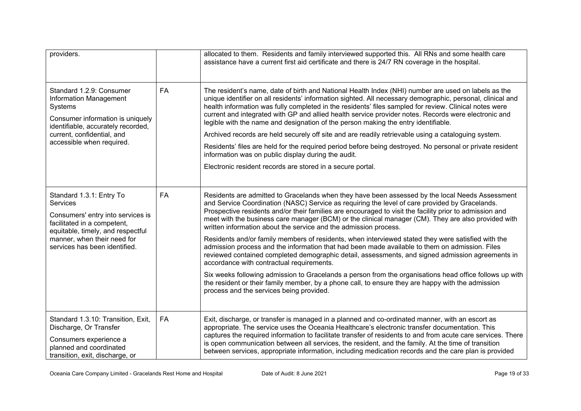| providers.                                                                                                                                                                                                           |           | allocated to them. Residents and family interviewed supported this. All RNs and some health care<br>assistance have a current first aid certificate and there is 24/7 RN coverage in the hospital.                                                                                                                                                                                                                                                                                                                                                                                                                                                                                                                                                                                                                                                                                                                                                                                                                                                                                                           |
|----------------------------------------------------------------------------------------------------------------------------------------------------------------------------------------------------------------------|-----------|--------------------------------------------------------------------------------------------------------------------------------------------------------------------------------------------------------------------------------------------------------------------------------------------------------------------------------------------------------------------------------------------------------------------------------------------------------------------------------------------------------------------------------------------------------------------------------------------------------------------------------------------------------------------------------------------------------------------------------------------------------------------------------------------------------------------------------------------------------------------------------------------------------------------------------------------------------------------------------------------------------------------------------------------------------------------------------------------------------------|
| Standard 1.2.9: Consumer<br>Information Management<br>Systems<br>Consumer information is uniquely<br>identifiable, accurately recorded,<br>current, confidential, and<br>accessible when required.                   | FA        | The resident's name, date of birth and National Health Index (NHI) number are used on labels as the<br>unique identifier on all residents' information sighted. All necessary demographic, personal, clinical and<br>health information was fully completed in the residents' files sampled for review. Clinical notes were<br>current and integrated with GP and allied health service provider notes. Records were electronic and<br>legible with the name and designation of the person making the entry identifiable.<br>Archived records are held securely off site and are readily retrievable using a cataloguing system.<br>Residents' files are held for the required period before being destroyed. No personal or private resident<br>information was on public display during the audit.<br>Electronic resident records are stored in a secure portal.                                                                                                                                                                                                                                           |
| Standard 1.3.1: Entry To<br><b>Services</b><br>Consumers' entry into services is<br>facilitated in a competent,<br>equitable, timely, and respectful<br>manner, when their need for<br>services has been identified. | <b>FA</b> | Residents are admitted to Gracelands when they have been assessed by the local Needs Assessment<br>and Service Coordination (NASC) Service as requiring the level of care provided by Gracelands.<br>Prospective residents and/or their families are encouraged to visit the facility prior to admission and<br>meet with the business care manager (BCM) or the clinical manager (CM). They are also provided with<br>written information about the service and the admission process.<br>Residents and/or family members of residents, when interviewed stated they were satisfied with the<br>admission process and the information that had been made available to them on admission. Files<br>reviewed contained completed demographic detail, assessments, and signed admission agreements in<br>accordance with contractual requirements.<br>Six weeks following admission to Gracelands a person from the organisations head office follows up with<br>the resident or their family member, by a phone call, to ensure they are happy with the admission<br>process and the services being provided. |
| Standard 1.3.10: Transition, Exit,<br>Discharge, Or Transfer<br>Consumers experience a<br>planned and coordinated<br>transition, exit, discharge, or                                                                 | <b>FA</b> | Exit, discharge, or transfer is managed in a planned and co-ordinated manner, with an escort as<br>appropriate. The service uses the Oceania Healthcare's electronic transfer documentation. This<br>captures the required information to facilitate transfer of residents to and from acute care services. There<br>is open communication between all services, the resident, and the family. At the time of transition<br>between services, appropriate information, including medication records and the care plan is provided                                                                                                                                                                                                                                                                                                                                                                                                                                                                                                                                                                            |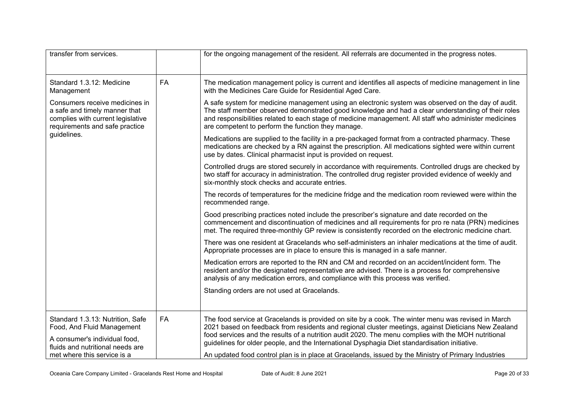| transfer from services.                                                                                                                |    | for the ongoing management of the resident. All referrals are documented in the progress notes.                                                                                                                                                                                                                                                                         |
|----------------------------------------------------------------------------------------------------------------------------------------|----|-------------------------------------------------------------------------------------------------------------------------------------------------------------------------------------------------------------------------------------------------------------------------------------------------------------------------------------------------------------------------|
| Standard 1.3.12: Medicine<br>Management                                                                                                | FA | The medication management policy is current and identifies all aspects of medicine management in line<br>with the Medicines Care Guide for Residential Aged Care.                                                                                                                                                                                                       |
| Consumers receive medicines in<br>a safe and timely manner that<br>complies with current legislative<br>requirements and safe practice |    | A safe system for medicine management using an electronic system was observed on the day of audit.<br>The staff member observed demonstrated good knowledge and had a clear understanding of their roles<br>and responsibilities related to each stage of medicine management. All staff who administer medicines<br>are competent to perform the function they manage. |
| guidelines.                                                                                                                            |    | Medications are supplied to the facility in a pre-packaged format from a contracted pharmacy. These<br>medications are checked by a RN against the prescription. All medications sighted were within current<br>use by dates. Clinical pharmacist input is provided on request.                                                                                         |
|                                                                                                                                        |    | Controlled drugs are stored securely in accordance with requirements. Controlled drugs are checked by<br>two staff for accuracy in administration. The controlled drug register provided evidence of weekly and<br>six-monthly stock checks and accurate entries.                                                                                                       |
|                                                                                                                                        |    | The records of temperatures for the medicine fridge and the medication room reviewed were within the<br>recommended range.                                                                                                                                                                                                                                              |
|                                                                                                                                        |    | Good prescribing practices noted include the prescriber's signature and date recorded on the<br>commencement and discontinuation of medicines and all requirements for pro re nata (PRN) medicines<br>met. The required three-monthly GP review is consistently recorded on the electronic medicine chart.                                                              |
|                                                                                                                                        |    | There was one resident at Gracelands who self-administers an inhaler medications at the time of audit.<br>Appropriate processes are in place to ensure this is managed in a safe manner.                                                                                                                                                                                |
|                                                                                                                                        |    | Medication errors are reported to the RN and CM and recorded on an accident/incident form. The<br>resident and/or the designated representative are advised. There is a process for comprehensive<br>analysis of any medication errors, and compliance with this process was verified.                                                                                  |
|                                                                                                                                        |    | Standing orders are not used at Gracelands.                                                                                                                                                                                                                                                                                                                             |
| Standard 1.3.13: Nutrition, Safe<br>Food, And Fluid Management<br>A consumer's individual food,                                        | FA | The food service at Gracelands is provided on site by a cook. The winter menu was revised in March<br>2021 based on feedback from residents and regional cluster meetings, against Dieticians New Zealand<br>food services and the results of a nutrition audit 2020. The menu complies with the MOH nutritional                                                        |
| fluids and nutritional needs are<br>met where this service is a                                                                        |    | guidelines for older people, and the International Dysphagia Diet standardisation initiative.<br>An updated food control plan is in place at Gracelands, issued by the Ministry of Primary Industries                                                                                                                                                                   |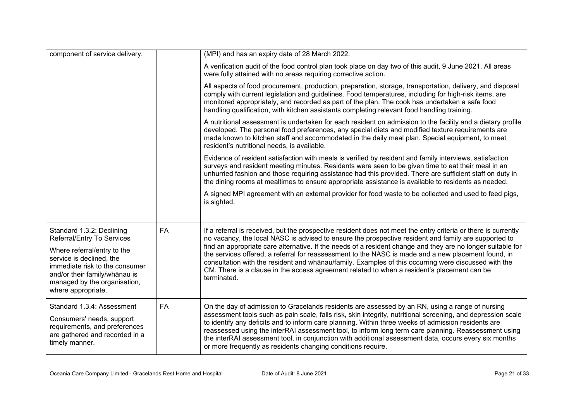| component of service delivery.                                                                                                                                                   |    | (MPI) and has an expiry date of 28 March 2022.                                                                                                                                                                                                                                                                                                                                                                                                                                                       |
|----------------------------------------------------------------------------------------------------------------------------------------------------------------------------------|----|------------------------------------------------------------------------------------------------------------------------------------------------------------------------------------------------------------------------------------------------------------------------------------------------------------------------------------------------------------------------------------------------------------------------------------------------------------------------------------------------------|
|                                                                                                                                                                                  |    | A verification audit of the food control plan took place on day two of this audit, 9 June 2021. All areas<br>were fully attained with no areas requiring corrective action.                                                                                                                                                                                                                                                                                                                          |
|                                                                                                                                                                                  |    | All aspects of food procurement, production, preparation, storage, transportation, delivery, and disposal<br>comply with current legislation and guidelines. Food temperatures, including for high-risk items, are<br>monitored appropriately, and recorded as part of the plan. The cook has undertaken a safe food<br>handling qualification, with kitchen assistants completing relevant food handling training.                                                                                  |
|                                                                                                                                                                                  |    | A nutritional assessment is undertaken for each resident on admission to the facility and a dietary profile<br>developed. The personal food preferences, any special diets and modified texture requirements are<br>made known to kitchen staff and accommodated in the daily meal plan. Special equipment, to meet<br>resident's nutritional needs, is available.                                                                                                                                   |
|                                                                                                                                                                                  |    | Evidence of resident satisfaction with meals is verified by resident and family interviews, satisfaction<br>surveys and resident meeting minutes. Residents were seen to be given time to eat their meal in an<br>unhurried fashion and those requiring assistance had this provided. There are sufficient staff on duty in<br>the dining rooms at mealtimes to ensure appropriate assistance is available to residents as needed.                                                                   |
|                                                                                                                                                                                  |    | A signed MPI agreement with an external provider for food waste to be collected and used to feed pigs,<br>is sighted.                                                                                                                                                                                                                                                                                                                                                                                |
| Standard 1.3.2: Declining<br>Referral/Entry To Services                                                                                                                          | FA | If a referral is received, but the prospective resident does not meet the entry criteria or there is currently<br>no vacancy, the local NASC is advised to ensure the prospective resident and family are supported to                                                                                                                                                                                                                                                                               |
| Where referral/entry to the<br>service is declined, the<br>immediate risk to the consumer<br>and/or their family/whānau is<br>managed by the organisation,<br>where appropriate. |    | find an appropriate care alternative. If the needs of a resident change and they are no longer suitable for<br>the services offered, a referral for reassessment to the NASC is made and a new placement found, in<br>consultation with the resident and whānau/family. Examples of this occurring were discussed with the<br>CM. There is a clause in the access agreement related to when a resident's placement can be<br>terminated.                                                             |
| Standard 1.3.4: Assessment                                                                                                                                                       | FA | On the day of admission to Gracelands residents are assessed by an RN, using a range of nursing                                                                                                                                                                                                                                                                                                                                                                                                      |
| Consumers' needs, support<br>requirements, and preferences<br>are gathered and recorded in a<br>timely manner.                                                                   |    | assessment tools such as pain scale, falls risk, skin integrity, nutritional screening, and depression scale<br>to identify any deficits and to inform care planning. Within three weeks of admission residents are<br>reassessed using the interRAI assessment tool, to inform long term care planning. Reassessment using<br>the interRAI assessment tool, in conjunction with additional assessment data, occurs every six months<br>or more frequently as residents changing conditions require. |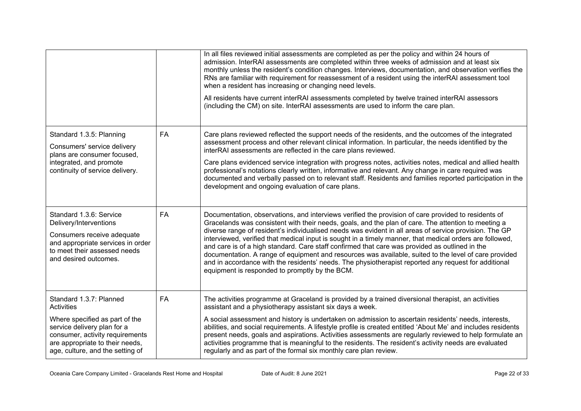|                                                                                                                                                                                                                         |           | In all files reviewed initial assessments are completed as per the policy and within 24 hours of<br>admission. InterRAI assessments are completed within three weeks of admission and at least six<br>monthly unless the resident's condition changes. Interviews, documentation, and observation verifies the<br>RNs are familiar with requirement for reassessment of a resident using the interRAI assessment tool<br>when a resident has increasing or changing need levels.<br>All residents have current interRAI assessments completed by twelve trained interRAI assessors<br>(including the CM) on site. InterRAI assessments are used to inform the care plan.                                                                                                                              |
|-------------------------------------------------------------------------------------------------------------------------------------------------------------------------------------------------------------------------|-----------|-------------------------------------------------------------------------------------------------------------------------------------------------------------------------------------------------------------------------------------------------------------------------------------------------------------------------------------------------------------------------------------------------------------------------------------------------------------------------------------------------------------------------------------------------------------------------------------------------------------------------------------------------------------------------------------------------------------------------------------------------------------------------------------------------------|
| Standard 1.3.5: Planning<br>Consumers' service delivery<br>plans are consumer focused,<br>integrated, and promote<br>continuity of service delivery.                                                                    | <b>FA</b> | Care plans reviewed reflected the support needs of the residents, and the outcomes of the integrated<br>assessment process and other relevant clinical information. In particular, the needs identified by the<br>interRAI assessments are reflected in the care plans reviewed.<br>Care plans evidenced service integration with progress notes, activities notes, medical and allied health<br>professional's notations clearly written, informative and relevant. Any change in care required was<br>documented and verbally passed on to relevant staff. Residents and families reported participation in the<br>development and ongoing evaluation of care plans.                                                                                                                                |
| Standard 1.3.6: Service<br>Delivery/Interventions<br>Consumers receive adequate<br>and appropriate services in order<br>to meet their assessed needs<br>and desired outcomes.                                           | <b>FA</b> | Documentation, observations, and interviews verified the provision of care provided to residents of<br>Gracelands was consistent with their needs, goals, and the plan of care. The attention to meeting a<br>diverse range of resident's individualised needs was evident in all areas of service provision. The GP<br>interviewed, verified that medical input is sought in a timely manner, that medical orders are followed,<br>and care is of a high standard. Care staff confirmed that care was provided as outlined in the<br>documentation. A range of equipment and resources was available, suited to the level of care provided<br>and in accordance with the residents' needs. The physiotherapist reported any request for additional<br>equipment is responded to promptly by the BCM. |
| Standard 1.3.7: Planned<br><b>Activities</b><br>Where specified as part of the<br>service delivery plan for a<br>consumer, activity requirements<br>are appropriate to their needs,<br>age, culture, and the setting of | <b>FA</b> | The activities programme at Graceland is provided by a trained diversional therapist, an activities<br>assistant and a physiotherapy assistant six days a week.<br>A social assessment and history is undertaken on admission to ascertain residents' needs, interests,<br>abilities, and social requirements. A lifestyle profile is created entitled 'About Me' and includes residents<br>present needs, goals and aspirations. Activities assessments are regularly reviewed to help formulate an<br>activities programme that is meaningful to the residents. The resident's activity needs are evaluated<br>regularly and as part of the formal six monthly care plan review.                                                                                                                    |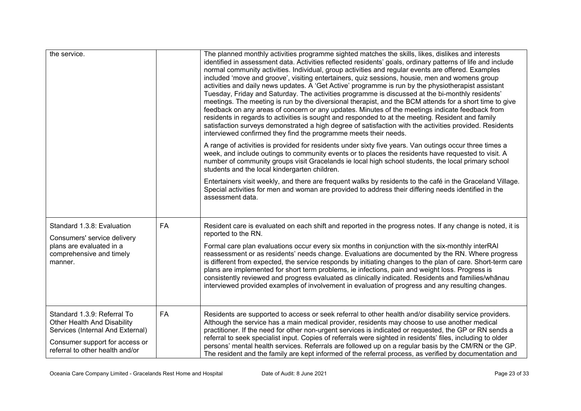| the service.                                                                                                                                                        |    | The planned monthly activities programme sighted matches the skills, likes, dislikes and interests<br>identified in assessment data. Activities reflected residents' goals, ordinary patterns of life and include<br>normal community activities. Individual, group activities and regular events are offered. Examples<br>included 'move and groove', visiting entertainers, quiz sessions, housie, men and womens group<br>activities and daily news updates. A 'Get Active' programme is run by the physiotherapist assistant<br>Tuesday, Friday and Saturday. The activities programme is discussed at the bi-monthly residents'<br>meetings. The meeting is run by the diversional therapist, and the BCM attends for a short time to give<br>feedback on any areas of concern or any updates. Minutes of the meetings indicate feedback from<br>residents in regards to activities is sought and responded to at the meeting. Resident and family<br>satisfaction surveys demonstrated a high degree of satisfaction with the activities provided. Residents<br>interviewed confirmed they find the programme meets their needs.<br>A range of activities is provided for residents under sixty five years. Van outings occur three times a<br>week, and include outings to community events or to places the residents have requested to visit. A<br>number of community groups visit Gracelands ie local high school students, the local primary school<br>students and the local kindergarten children.<br>Entertainers visit weekly, and there are frequent walks by residents to the café in the Graceland Village.<br>Special activities for men and woman are provided to address their differing needs identified in the<br>assessment data. |
|---------------------------------------------------------------------------------------------------------------------------------------------------------------------|----|------------------------------------------------------------------------------------------------------------------------------------------------------------------------------------------------------------------------------------------------------------------------------------------------------------------------------------------------------------------------------------------------------------------------------------------------------------------------------------------------------------------------------------------------------------------------------------------------------------------------------------------------------------------------------------------------------------------------------------------------------------------------------------------------------------------------------------------------------------------------------------------------------------------------------------------------------------------------------------------------------------------------------------------------------------------------------------------------------------------------------------------------------------------------------------------------------------------------------------------------------------------------------------------------------------------------------------------------------------------------------------------------------------------------------------------------------------------------------------------------------------------------------------------------------------------------------------------------------------------------------------------------------------------------------------------------------------------------------------------------------------|
| Standard 1.3.8: Evaluation<br>Consumers' service delivery<br>plans are evaluated in a<br>comprehensive and timely<br>manner.                                        | FA | Resident care is evaluated on each shift and reported in the progress notes. If any change is noted, it is<br>reported to the RN.<br>Formal care plan evaluations occur every six months in conjunction with the six-monthly interRAI<br>reassessment or as residents' needs change. Evaluations are documented by the RN. Where progress<br>is different from expected, the service responds by initiating changes to the plan of care. Short-term care<br>plans are implemented for short term problems, ie infections, pain and weight loss. Progress is<br>consistently reviewed and progress evaluated as clinically indicated. Residents and families/whanau<br>interviewed provided examples of involvement in evaluation of progress and any resulting changes.                                                                                                                                                                                                                                                                                                                                                                                                                                                                                                                                                                                                                                                                                                                                                                                                                                                                                                                                                                                    |
| Standard 1.3.9: Referral To<br>Other Health And Disability<br>Services (Internal And External)<br>Consumer support for access or<br>referral to other health and/or | FA | Residents are supported to access or seek referral to other health and/or disability service providers.<br>Although the service has a main medical provider, residents may choose to use another medical<br>practitioner. If the need for other non-urgent services is indicated or requested, the GP or RN sends a<br>referral to seek specialist input. Copies of referrals were sighted in residents' files, including to older<br>persons' mental health services. Referrals are followed up on a regular basis by the CM/RN or the GP.<br>The resident and the family are kept informed of the referral process, as verified by documentation and                                                                                                                                                                                                                                                                                                                                                                                                                                                                                                                                                                                                                                                                                                                                                                                                                                                                                                                                                                                                                                                                                                     |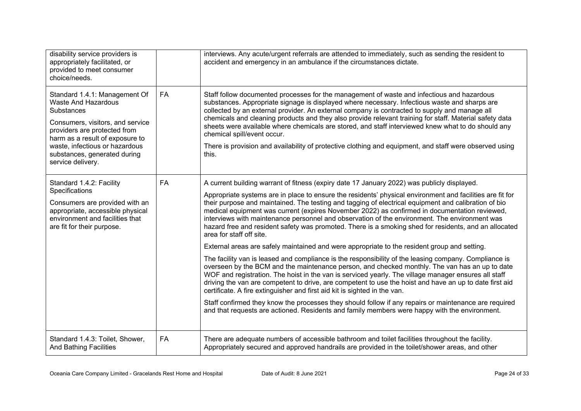| disability service providers is<br>appropriately facilitated, or<br>provided to meet consumer<br>choice/needs.                                                                                                                                                                 |           | interviews. Any acute/urgent referrals are attended to immediately, such as sending the resident to<br>accident and emergency in an ambulance if the circumstances dictate.                                                                                                                                                                                                                                                                                                                                                                                                                                                                                                                                                                                                                                                                                                                                                                                                                                                                                                                                                                                                                                                                                                                                                                                                                                                                                                  |
|--------------------------------------------------------------------------------------------------------------------------------------------------------------------------------------------------------------------------------------------------------------------------------|-----------|------------------------------------------------------------------------------------------------------------------------------------------------------------------------------------------------------------------------------------------------------------------------------------------------------------------------------------------------------------------------------------------------------------------------------------------------------------------------------------------------------------------------------------------------------------------------------------------------------------------------------------------------------------------------------------------------------------------------------------------------------------------------------------------------------------------------------------------------------------------------------------------------------------------------------------------------------------------------------------------------------------------------------------------------------------------------------------------------------------------------------------------------------------------------------------------------------------------------------------------------------------------------------------------------------------------------------------------------------------------------------------------------------------------------------------------------------------------------------|
| Standard 1.4.1: Management Of<br><b>Waste And Hazardous</b><br><b>Substances</b><br>Consumers, visitors, and service<br>providers are protected from<br>harm as a result of exposure to<br>waste, infectious or hazardous<br>substances, generated during<br>service delivery. | <b>FA</b> | Staff follow documented processes for the management of waste and infectious and hazardous<br>substances. Appropriate signage is displayed where necessary. Infectious waste and sharps are<br>collected by an external provider. An external company is contracted to supply and manage all<br>chemicals and cleaning products and they also provide relevant training for staff. Material safety data<br>sheets were available where chemicals are stored, and staff interviewed knew what to do should any<br>chemical spill/event occur.<br>There is provision and availability of protective clothing and equipment, and staff were observed using<br>this.                                                                                                                                                                                                                                                                                                                                                                                                                                                                                                                                                                                                                                                                                                                                                                                                             |
| Standard 1.4.2: Facility<br>Specifications<br>Consumers are provided with an<br>appropriate, accessible physical<br>environment and facilities that<br>are fit for their purpose.                                                                                              | <b>FA</b> | A current building warrant of fitness (expiry date 17 January 2022) was publicly displayed.<br>Appropriate systems are in place to ensure the residents' physical environment and facilities are fit for<br>their purpose and maintained. The testing and tagging of electrical equipment and calibration of bio<br>medical equipment was current (expires November 2022) as confirmed in documentation reviewed,<br>interviews with maintenance personnel and observation of the environment. The environment was<br>hazard free and resident safety was promoted. There is a smoking shed for residents, and an allocated<br>area for staff off site.<br>External areas are safely maintained and were appropriate to the resident group and setting.<br>The facility van is leased and compliance is the responsibility of the leasing company. Compliance is<br>overseen by the BCM and the maintenance person, and checked monthly. The van has an up to date<br>WOF and registration. The hoist in the van is serviced yearly. The village manager ensures all staff<br>driving the van are competent to drive, are competent to use the hoist and have an up to date first aid<br>certificate. A fire extinguisher and first aid kit is sighted in the van.<br>Staff confirmed they know the processes they should follow if any repairs or maintenance are required<br>and that requests are actioned. Residents and family members were happy with the environment. |
| Standard 1.4.3: Toilet, Shower,<br><b>And Bathing Facilities</b>                                                                                                                                                                                                               | <b>FA</b> | There are adequate numbers of accessible bathroom and toilet facilities throughout the facility.<br>Appropriately secured and approved handrails are provided in the toilet/shower areas, and other                                                                                                                                                                                                                                                                                                                                                                                                                                                                                                                                                                                                                                                                                                                                                                                                                                                                                                                                                                                                                                                                                                                                                                                                                                                                          |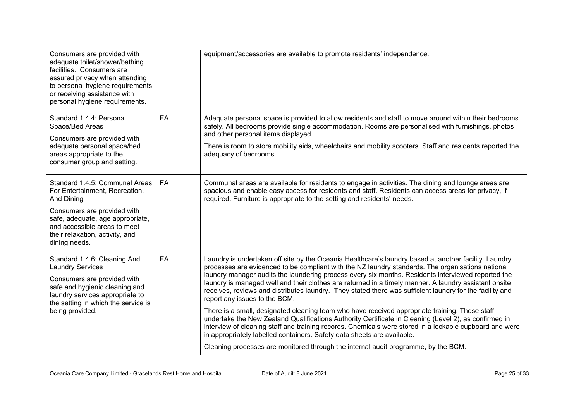| Consumers are provided with<br>adequate toilet/shower/bathing<br>facilities. Consumers are<br>assured privacy when attending<br>to personal hygiene requirements<br>or receiving assistance with<br>personal hygiene requirements.    |           | equipment/accessories are available to promote residents' independence.                                                                                                                                                                                                                                                                                                                                                                                                                                                                                                                                                                                                                                                                                                                                                                                                                                                                                                                                                                                       |
|---------------------------------------------------------------------------------------------------------------------------------------------------------------------------------------------------------------------------------------|-----------|---------------------------------------------------------------------------------------------------------------------------------------------------------------------------------------------------------------------------------------------------------------------------------------------------------------------------------------------------------------------------------------------------------------------------------------------------------------------------------------------------------------------------------------------------------------------------------------------------------------------------------------------------------------------------------------------------------------------------------------------------------------------------------------------------------------------------------------------------------------------------------------------------------------------------------------------------------------------------------------------------------------------------------------------------------------|
| Standard 1.4.4: Personal<br>Space/Bed Areas<br>Consumers are provided with<br>adequate personal space/bed<br>areas appropriate to the<br>consumer group and setting.                                                                  | <b>FA</b> | Adequate personal space is provided to allow residents and staff to move around within their bedrooms<br>safely. All bedrooms provide single accommodation. Rooms are personalised with furnishings, photos<br>and other personal items displayed.<br>There is room to store mobility aids, wheelchairs and mobility scooters. Staff and residents reported the<br>adequacy of bedrooms.                                                                                                                                                                                                                                                                                                                                                                                                                                                                                                                                                                                                                                                                      |
| Standard 1.4.5: Communal Areas<br>For Entertainment, Recreation,<br>And Dining<br>Consumers are provided with<br>safe, adequate, age appropriate,<br>and accessible areas to meet<br>their relaxation, activity, and<br>dining needs. | <b>FA</b> | Communal areas are available for residents to engage in activities. The dining and lounge areas are<br>spacious and enable easy access for residents and staff. Residents can access areas for privacy, if<br>required. Furniture is appropriate to the setting and residents' needs.                                                                                                                                                                                                                                                                                                                                                                                                                                                                                                                                                                                                                                                                                                                                                                         |
| Standard 1.4.6: Cleaning And<br><b>Laundry Services</b><br>Consumers are provided with<br>safe and hygienic cleaning and<br>laundry services appropriate to<br>the setting in which the service is<br>being provided.                 | <b>FA</b> | Laundry is undertaken off site by the Oceania Healthcare's laundry based at another facility. Laundry<br>processes are evidenced to be compliant with the NZ laundry standards. The organisations national<br>laundry manager audits the laundering process every six months. Residents interviewed reported the<br>laundry is managed well and their clothes are returned in a timely manner. A laundry assistant onsite<br>receives, reviews and distributes laundry. They stated there was sufficient laundry for the facility and<br>report any issues to the BCM.<br>There is a small, designated cleaning team who have received appropriate training. These staff<br>undertake the New Zealand Qualifications Authority Certificate in Cleaning (Level 2), as confirmed in<br>interview of cleaning staff and training records. Chemicals were stored in a lockable cupboard and were<br>in appropriately labelled containers. Safety data sheets are available.<br>Cleaning processes are monitored through the internal audit programme, by the BCM. |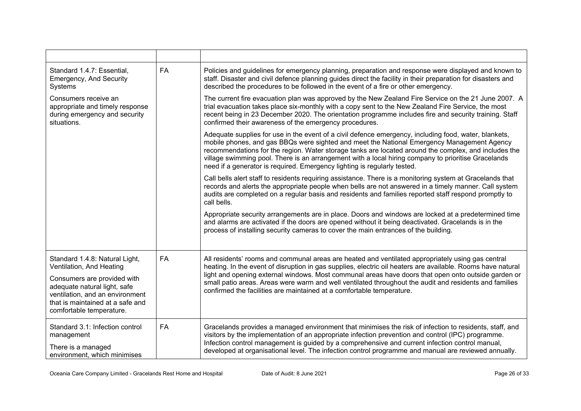| Standard 1.4.7: Essential,<br><b>Emergency, And Security</b><br>Systems                                                                                                                                                      | <b>FA</b> | Policies and guidelines for emergency planning, preparation and response were displayed and known to<br>staff. Disaster and civil defence planning guides direct the facility in their preparation for disasters and<br>described the procedures to be followed in the event of a fire or other emergency.                                                                                                                                                                                                 |
|------------------------------------------------------------------------------------------------------------------------------------------------------------------------------------------------------------------------------|-----------|------------------------------------------------------------------------------------------------------------------------------------------------------------------------------------------------------------------------------------------------------------------------------------------------------------------------------------------------------------------------------------------------------------------------------------------------------------------------------------------------------------|
| Consumers receive an<br>appropriate and timely response<br>during emergency and security<br>situations.                                                                                                                      |           | The current fire evacuation plan was approved by the New Zealand Fire Service on the 21 June 2007. A<br>trial evacuation takes place six-monthly with a copy sent to the New Zealand Fire Service, the most<br>recent being in 23 December 2020. The orientation programme includes fire and security training. Staff<br>confirmed their awareness of the emergency procedures.                                                                                                                            |
|                                                                                                                                                                                                                              |           | Adequate supplies for use in the event of a civil defence emergency, including food, water, blankets,<br>mobile phones, and gas BBQs were sighted and meet the National Emergency Management Agency<br>recommendations for the region. Water storage tanks are located around the complex, and includes the<br>village swimming pool. There is an arrangement with a local hiring company to prioritise Gracelands<br>need if a generator is required. Emergency lighting is regularly tested.             |
|                                                                                                                                                                                                                              |           | Call bells alert staff to residents requiring assistance. There is a monitoring system at Gracelands that<br>records and alerts the appropriate people when bells are not answered in a timely manner. Call system<br>audits are completed on a regular basis and residents and families reported staff respond promptly to<br>call bells.                                                                                                                                                                 |
|                                                                                                                                                                                                                              |           | Appropriate security arrangements are in place. Doors and windows are locked at a predetermined time<br>and alarms are activated if the doors are opened without it being deactivated. Gracelands is in the<br>process of installing security cameras to cover the main entrances of the building.                                                                                                                                                                                                         |
| Standard 1.4.8: Natural Light,<br>Ventilation, And Heating<br>Consumers are provided with<br>adequate natural light, safe<br>ventilation, and an environment<br>that is maintained at a safe and<br>comfortable temperature. | <b>FA</b> | All residents' rooms and communal areas are heated and ventilated appropriately using gas central<br>heating. In the event of disruption in gas supplies, electric oil heaters are available. Rooms have natural<br>light and opening external windows. Most communal areas have doors that open onto outside garden or<br>small patio areas. Areas were warm and well ventilated throughout the audit and residents and families<br>confirmed the facilities are maintained at a comfortable temperature. |
| Standard 3.1: Infection control<br>management<br>There is a managed<br>environment, which minimises                                                                                                                          | <b>FA</b> | Gracelands provides a managed environment that minimises the risk of infection to residents, staff, and<br>visitors by the implementation of an appropriate infection prevention and control (IPC) programme.<br>Infection control management is guided by a comprehensive and current infection control manual,<br>developed at organisational level. The infection control programme and manual are reviewed annually.                                                                                   |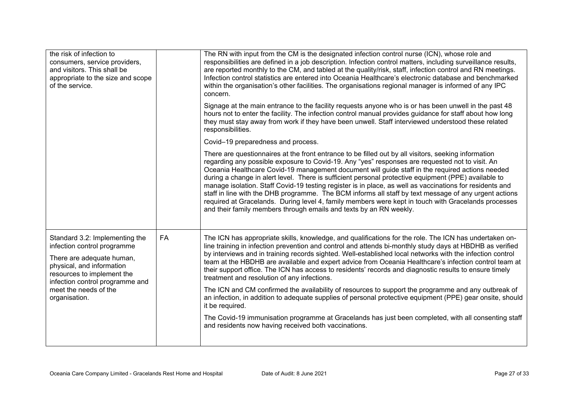| the risk of infection to<br>consumers, service providers,<br>and visitors. This shall be<br>appropriate to the size and scope<br>of the service.                                                                                   |    | The RN with input from the CM is the designated infection control nurse (ICN), whose role and<br>responsibilities are defined in a job description. Infection control matters, including surveillance results,<br>are reported monthly to the CM, and tabled at the quality/risk, staff, infection control and RN meetings.<br>Infection control statistics are entered into Oceania Healthcare's electronic database and benchmarked<br>within the organisation's other facilities. The organisations regional manager is informed of any IPC<br>concern.                                                                                                                                                                                                                                                           |
|------------------------------------------------------------------------------------------------------------------------------------------------------------------------------------------------------------------------------------|----|----------------------------------------------------------------------------------------------------------------------------------------------------------------------------------------------------------------------------------------------------------------------------------------------------------------------------------------------------------------------------------------------------------------------------------------------------------------------------------------------------------------------------------------------------------------------------------------------------------------------------------------------------------------------------------------------------------------------------------------------------------------------------------------------------------------------|
|                                                                                                                                                                                                                                    |    | Signage at the main entrance to the facility requests anyone who is or has been unwell in the past 48<br>hours not to enter the facility. The infection control manual provides guidance for staff about how long<br>they must stay away from work if they have been unwell. Staff interviewed understood these related<br>responsibilities.                                                                                                                                                                                                                                                                                                                                                                                                                                                                         |
|                                                                                                                                                                                                                                    |    | Covid-19 preparedness and process.                                                                                                                                                                                                                                                                                                                                                                                                                                                                                                                                                                                                                                                                                                                                                                                   |
|                                                                                                                                                                                                                                    |    | There are questionnaires at the front entrance to be filled out by all visitors, seeking information<br>regarding any possible exposure to Covid-19. Any "yes" responses are requested not to visit. An<br>Oceania Healthcare Covid-19 management document will guide staff in the required actions needed<br>during a change in alert level. There is sufficient personal protective equipment (PPE) available to<br>manage isolation. Staff Covid-19 testing register is in place, as well as vaccinations for residents and<br>staff in line with the DHB programme. The BCM informs all staff by text message of any urgent actions<br>required at Gracelands. During level 4, family members were kept in touch with Gracelands processes<br>and their family members through emails and texts by an RN weekly. |
| Standard 3.2: Implementing the<br>infection control programme<br>There are adequate human,<br>physical, and information<br>resources to implement the<br>infection control programme and<br>meet the needs of the<br>organisation. | FA | The ICN has appropriate skills, knowledge, and qualifications for the role. The ICN has undertaken on-<br>line training in infection prevention and control and attends bi-monthly study days at HBDHB as verified<br>by interviews and in training records sighted. Well-established local networks with the infection control<br>team at the HBDHB are available and expert advice from Oceania Healthcare's infection control team at<br>their support office. The ICN has access to residents' records and diagnostic results to ensure timely<br>treatment and resolution of any infections.                                                                                                                                                                                                                    |
|                                                                                                                                                                                                                                    |    | The ICN and CM confirmed the availability of resources to support the programme and any outbreak of<br>an infection, in addition to adequate supplies of personal protective equipment (PPE) gear onsite, should<br>it be required.                                                                                                                                                                                                                                                                                                                                                                                                                                                                                                                                                                                  |
|                                                                                                                                                                                                                                    |    | The Covid-19 immunisation programme at Gracelands has just been completed, with all consenting staff<br>and residents now having received both vaccinations.                                                                                                                                                                                                                                                                                                                                                                                                                                                                                                                                                                                                                                                         |
|                                                                                                                                                                                                                                    |    |                                                                                                                                                                                                                                                                                                                                                                                                                                                                                                                                                                                                                                                                                                                                                                                                                      |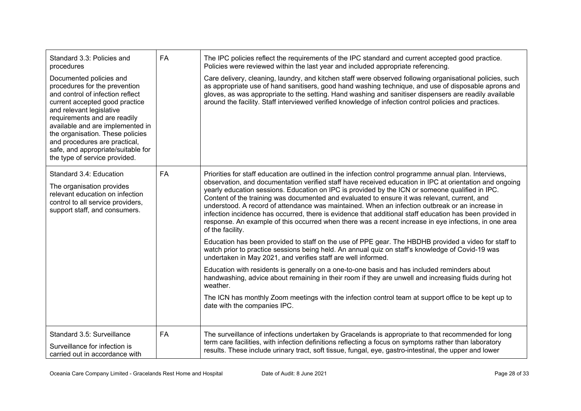| Standard 3.3: Policies and<br>procedures                                                                                                                                                                                                                                                                                                                                   | <b>FA</b> | The IPC policies reflect the requirements of the IPC standard and current accepted good practice.<br>Policies were reviewed within the last year and included appropriate referencing.                                                                                                                                                                                                                                                                                                                                                                                                                                                                                                                                                                            |
|----------------------------------------------------------------------------------------------------------------------------------------------------------------------------------------------------------------------------------------------------------------------------------------------------------------------------------------------------------------------------|-----------|-------------------------------------------------------------------------------------------------------------------------------------------------------------------------------------------------------------------------------------------------------------------------------------------------------------------------------------------------------------------------------------------------------------------------------------------------------------------------------------------------------------------------------------------------------------------------------------------------------------------------------------------------------------------------------------------------------------------------------------------------------------------|
| Documented policies and<br>procedures for the prevention<br>and control of infection reflect<br>current accepted good practice<br>and relevant legislative<br>requirements and are readily<br>available and are implemented in<br>the organisation. These policies<br>and procedures are practical,<br>safe, and appropriate/suitable for<br>the type of service provided. |           | Care delivery, cleaning, laundry, and kitchen staff were observed following organisational policies, such<br>as appropriate use of hand sanitisers, good hand washing technique, and use of disposable aprons and<br>gloves, as was appropriate to the setting. Hand washing and sanitiser dispensers are readily available<br>around the facility. Staff interviewed verified knowledge of infection control policies and practices.                                                                                                                                                                                                                                                                                                                             |
| Standard 3.4: Education<br>The organisation provides<br>relevant education on infection<br>control to all service providers,<br>support staff, and consumers.                                                                                                                                                                                                              | <b>FA</b> | Priorities for staff education are outlined in the infection control programme annual plan. Interviews,<br>observation, and documentation verified staff have received education in IPC at orientation and ongoing<br>yearly education sessions. Education on IPC is provided by the ICN or someone qualified in IPC.<br>Content of the training was documented and evaluated to ensure it was relevant, current, and<br>understood. A record of attendance was maintained. When an infection outbreak or an increase in<br>infection incidence has occurred, there is evidence that additional staff education has been provided in<br>response. An example of this occurred when there was a recent increase in eye infections, in one area<br>of the facility. |
|                                                                                                                                                                                                                                                                                                                                                                            |           | Education has been provided to staff on the use of PPE gear. The HBDHB provided a video for staff to<br>watch prior to practice sessions being held. An annual quiz on staff's knowledge of Covid-19 was<br>undertaken in May 2021, and verifies staff are well informed.                                                                                                                                                                                                                                                                                                                                                                                                                                                                                         |
|                                                                                                                                                                                                                                                                                                                                                                            |           | Education with residents is generally on a one-to-one basis and has included reminders about<br>handwashing, advice about remaining in their room if they are unwell and increasing fluids during hot<br>weather.                                                                                                                                                                                                                                                                                                                                                                                                                                                                                                                                                 |
|                                                                                                                                                                                                                                                                                                                                                                            |           | The ICN has monthly Zoom meetings with the infection control team at support office to be kept up to<br>date with the companies IPC.                                                                                                                                                                                                                                                                                                                                                                                                                                                                                                                                                                                                                              |
| Standard 3.5: Surveillance<br>Surveillance for infection is<br>carried out in accordance with                                                                                                                                                                                                                                                                              | <b>FA</b> | The surveillance of infections undertaken by Gracelands is appropriate to that recommended for long<br>term care facilities, with infection definitions reflecting a focus on symptoms rather than laboratory<br>results. These include urinary tract, soft tissue, fungal, eye, gastro-intestinal, the upper and lower                                                                                                                                                                                                                                                                                                                                                                                                                                           |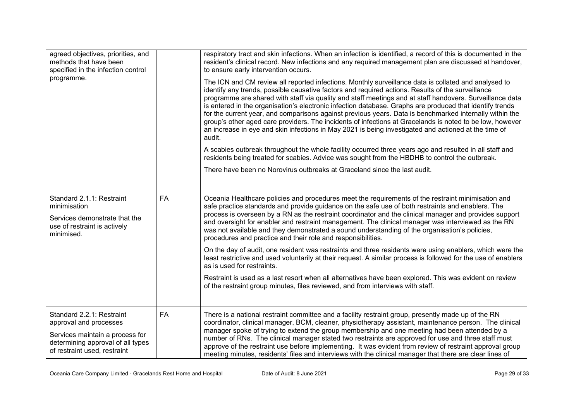| agreed objectives, priorities, and<br>methods that have been<br>specified in the infection control<br>programme.                                            |           | respiratory tract and skin infections. When an infection is identified, a record of this is documented in the<br>resident's clinical record. New infections and any required management plan are discussed at handover,<br>to ensure early intervention occurs.<br>The ICN and CM review all reported infections. Monthly surveillance data is collated and analysed to<br>identify any trends, possible causative factors and required actions. Results of the surveillance<br>programme are shared with staff via quality and staff meetings and at staff handovers. Surveillance data<br>is entered in the organisation's electronic infection database. Graphs are produced that identify trends<br>for the current year, and comparisons against previous years. Data is benchmarked internally within the<br>group's other aged care providers. The incidents of infections at Gracelands is noted to be low, however<br>an increase in eye and skin infections in May 2021 is being investigated and actioned at the time of<br>audit.<br>A scabies outbreak throughout the whole facility occurred three years ago and resulted in all staff and<br>residents being treated for scabies. Advice was sought from the HBDHB to control the outbreak.<br>There have been no Norovirus outbreaks at Graceland since the last audit. |
|-------------------------------------------------------------------------------------------------------------------------------------------------------------|-----------|-----------------------------------------------------------------------------------------------------------------------------------------------------------------------------------------------------------------------------------------------------------------------------------------------------------------------------------------------------------------------------------------------------------------------------------------------------------------------------------------------------------------------------------------------------------------------------------------------------------------------------------------------------------------------------------------------------------------------------------------------------------------------------------------------------------------------------------------------------------------------------------------------------------------------------------------------------------------------------------------------------------------------------------------------------------------------------------------------------------------------------------------------------------------------------------------------------------------------------------------------------------------------------------------------------------------------------------------|
| Standard 2.1.1: Restraint<br>minimisation<br>Services demonstrate that the<br>use of restraint is actively<br>minimised.                                    | <b>FA</b> | Oceania Healthcare policies and procedures meet the requirements of the restraint minimisation and<br>safe practice standards and provide guidance on the safe use of both restraints and enablers. The<br>process is overseen by a RN as the restraint coordinator and the clinical manager and provides support<br>and oversight for enabler and restraint management. The clinical manager was interviewed as the RN<br>was not available and they demonstrated a sound understanding of the organisation's policies,<br>procedures and practice and their role and responsibilities.<br>On the day of audit, one resident was restraints and three residents were using enablers, which were the<br>least restrictive and used voluntarily at their request. A similar process is followed for the use of enablers<br>as is used for restraints.<br>Restraint is used as a last resort when all alternatives have been explored. This was evident on review<br>of the restraint group minutes, files reviewed, and from interviews with staff.                                                                                                                                                                                                                                                                                      |
| Standard 2.2.1: Restraint<br>approval and processes<br>Services maintain a process for<br>determining approval of all types<br>of restraint used, restraint | FA        | There is a national restraint committee and a facility restraint group, presently made up of the RN<br>coordinator, clinical manager, BCM, cleaner, physiotherapy assistant, maintenance person. The clinical<br>manager spoke of trying to extend the group membership and one meeting had been attended by a<br>number of RNs. The clinical manager stated two restraints are approved for use and three staff must<br>approve of the restraint use before implementing. It was evident from review of restraint approval group<br>meeting minutes, residents' files and interviews with the clinical manager that there are clear lines of                                                                                                                                                                                                                                                                                                                                                                                                                                                                                                                                                                                                                                                                                           |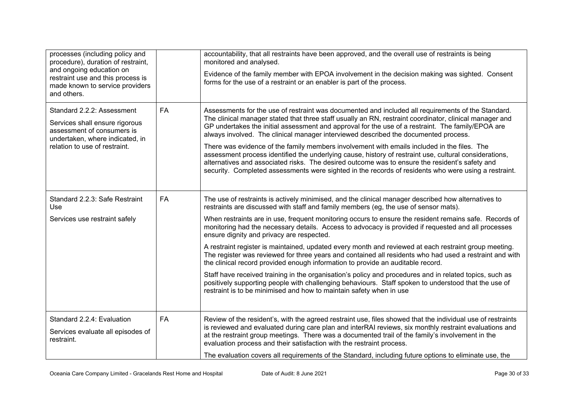| processes (including policy and<br>procedure), duration of restraint,<br>and ongoing education on<br>restraint use and this process is<br>made known to service providers<br>and others. |           | accountability, that all restraints have been approved, and the overall use of restraints is being<br>monitored and analysed.<br>Evidence of the family member with EPOA involvement in the decision making was sighted. Consent<br>forms for the use of a restraint or an enabler is part of the process.                                                                                                                                                                                                                                                                                                                                                                                                                                                                                                                                                                  |
|------------------------------------------------------------------------------------------------------------------------------------------------------------------------------------------|-----------|-----------------------------------------------------------------------------------------------------------------------------------------------------------------------------------------------------------------------------------------------------------------------------------------------------------------------------------------------------------------------------------------------------------------------------------------------------------------------------------------------------------------------------------------------------------------------------------------------------------------------------------------------------------------------------------------------------------------------------------------------------------------------------------------------------------------------------------------------------------------------------|
| Standard 2.2.2: Assessment<br>Services shall ensure rigorous<br>assessment of consumers is<br>undertaken, where indicated, in<br>relation to use of restraint.                           | FA        | Assessments for the use of restraint was documented and included all requirements of the Standard.<br>The clinical manager stated that three staff usually an RN, restraint coordinator, clinical manager and<br>GP undertakes the initial assessment and approval for the use of a restraint. The family/EPOA are<br>always involved. The clinical manager interviewed described the documented process.<br>There was evidence of the family members involvement with emails included in the files. The<br>assessment process identified the underlying cause, history of restraint use, cultural considerations,<br>alternatives and associated risks. The desired outcome was to ensure the resident's safety and<br>security. Completed assessments were sighted in the records of residents who were using a restraint.                                                |
| Standard 2.2.3: Safe Restraint<br>Use<br>Services use restraint safely                                                                                                                   | <b>FA</b> | The use of restraints is actively minimised, and the clinical manager described how alternatives to<br>restraints are discussed with staff and family members (eg, the use of sensor mats).<br>When restraints are in use, frequent monitoring occurs to ensure the resident remains safe. Records of<br>monitoring had the necessary details. Access to advocacy is provided if requested and all processes<br>ensure dignity and privacy are respected.<br>A restraint register is maintained, updated every month and reviewed at each restraint group meeting.<br>The register was reviewed for three years and contained all residents who had used a restraint and with<br>the clinical record provided enough information to provide an auditable record.<br>Staff have received training in the organisation's policy and procedures and in related topics, such as |
| Standard 2.2.4: Evaluation<br>Services evaluate all episodes of<br>restraint.                                                                                                            | <b>FA</b> | positively supporting people with challenging behaviours. Staff spoken to understood that the use of<br>restraint is to be minimised and how to maintain safety when in use<br>Review of the resident's, with the agreed restraint use, files showed that the individual use of restraints<br>is reviewed and evaluated during care plan and interRAI reviews, six monthly restraint evaluations and<br>at the restraint group meetings. There was a documented trail of the family's involvement in the<br>evaluation process and their satisfaction with the restraint process.<br>The evaluation covers all requirements of the Standard, including future options to eliminate use, the                                                                                                                                                                                 |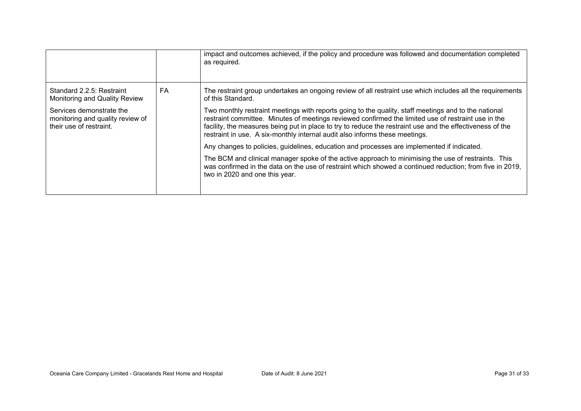|                                                                                         |    | impact and outcomes achieved, if the policy and procedure was followed and documentation completed<br>as required.                                                                                                                                                                                                                                                                                      |
|-----------------------------------------------------------------------------------------|----|---------------------------------------------------------------------------------------------------------------------------------------------------------------------------------------------------------------------------------------------------------------------------------------------------------------------------------------------------------------------------------------------------------|
| Standard 2.2.5: Restraint<br>Monitoring and Quality Review                              | FA | The restraint group undertakes an ongoing review of all restraint use which includes all the requirements<br>of this Standard.                                                                                                                                                                                                                                                                          |
| Services demonstrate the<br>monitoring and quality review of<br>their use of restraint. |    | Two monthly restraint meetings with reports going to the quality, staff meetings and to the national<br>restraint committee. Minutes of meetings reviewed confirmed the limited use of restraint use in the<br>facility, the measures being put in place to try to reduce the restraint use and the effectiveness of the<br>restraint in use. A six-monthly internal audit also informs these meetings. |
|                                                                                         |    | Any changes to policies, guidelines, education and processes are implemented if indicated.                                                                                                                                                                                                                                                                                                              |
|                                                                                         |    | The BCM and clinical manager spoke of the active approach to minimising the use of restraints. This<br>was confirmed in the data on the use of restraint which showed a continued reduction; from five in 2019,<br>two in 2020 and one this year.                                                                                                                                                       |
|                                                                                         |    |                                                                                                                                                                                                                                                                                                                                                                                                         |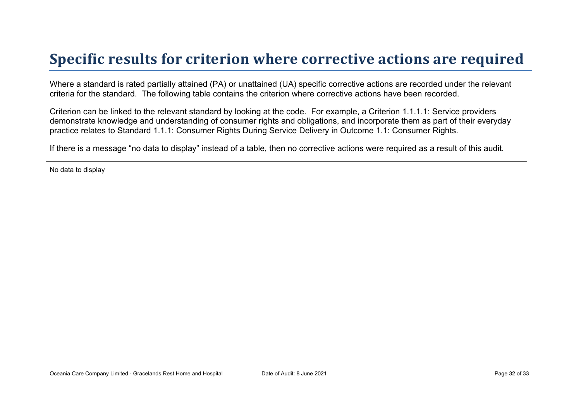## **Specific results for criterion where corrective actions are required**

Where a standard is rated partially attained (PA) or unattained (UA) specific corrective actions are recorded under the relevant criteria for the standard. The following table contains the criterion where corrective actions have been recorded.

Criterion can be linked to the relevant standard by looking at the code. For example, a Criterion 1.1.1.1: Service providers demonstrate knowledge and understanding of consumer rights and obligations, and incorporate them as part of their everyday practice relates to Standard 1.1.1: Consumer Rights During Service Delivery in Outcome 1.1: Consumer Rights.

If there is a message "no data to display" instead of a table, then no corrective actions were required as a result of this audit.

No data to display